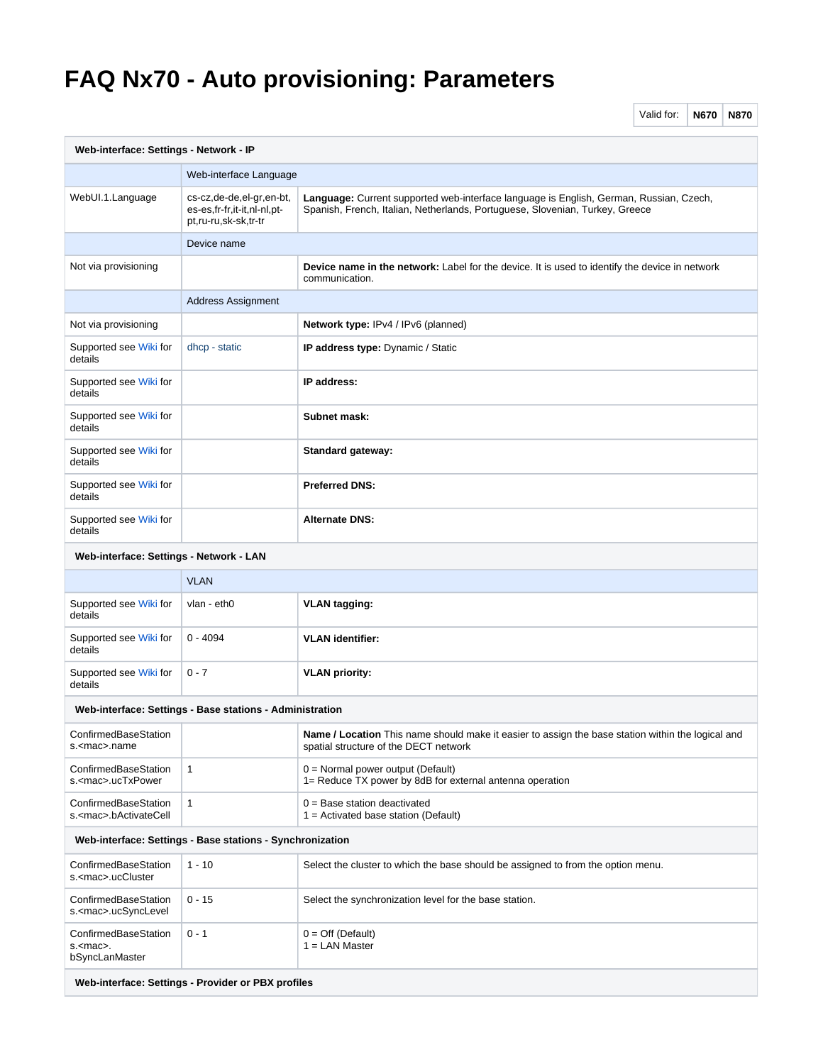## **FAQ Nx70 - Auto provisioning: Parameters**

Valid for: **N670 N870**

| Web-interface: Settings - Network - IP                     |                                                                                 |                                                                                                                                                                        |
|------------------------------------------------------------|---------------------------------------------------------------------------------|------------------------------------------------------------------------------------------------------------------------------------------------------------------------|
|                                                            | Web-interface Language                                                          |                                                                                                                                                                        |
| WebUI.1.Language                                           | cs-cz,de-de,el-gr,en-bt,<br>es-es,fr-fr,it-it,nl-nl,pt-<br>pt,ru-ru,sk-sk,tr-tr | Language: Current supported web-interface language is English, German, Russian, Czech,<br>Spanish, French, Italian, Netherlands, Portuguese, Slovenian, Turkey, Greece |
|                                                            | Device name                                                                     |                                                                                                                                                                        |
| Not via provisioning                                       |                                                                                 | <b>Device name in the network:</b> Label for the device. It is used to identify the device in network<br>communication.                                                |
|                                                            | <b>Address Assignment</b>                                                       |                                                                                                                                                                        |
| Not via provisioning                                       |                                                                                 | Network type: IPv4 / IPv6 (planned)                                                                                                                                    |
| Supported see Wiki for<br>details                          | dhcp - static                                                                   | <b>IP address type:</b> Dynamic / Static                                                                                                                               |
| Supported see Wiki for<br>details                          |                                                                                 | IP address:                                                                                                                                                            |
| Supported see Wiki for<br>details                          |                                                                                 | Subnet mask:                                                                                                                                                           |
| Supported see Wiki for<br>details                          |                                                                                 | Standard gateway:                                                                                                                                                      |
| Supported see Wiki for<br>details                          |                                                                                 | <b>Preferred DNS:</b>                                                                                                                                                  |
| Supported see Wiki for<br>details                          |                                                                                 | <b>Alternate DNS:</b>                                                                                                                                                  |
| Web-interface: Settings - Network - LAN                    |                                                                                 |                                                                                                                                                                        |
|                                                            | <b>VLAN</b>                                                                     |                                                                                                                                                                        |
| Supported see Wiki for<br>details                          | vlan - eth0                                                                     | <b>VLAN tagging:</b>                                                                                                                                                   |
| Supported see Wiki for<br>details                          | $0 - 4094$                                                                      | <b>VLAN</b> identifier:                                                                                                                                                |
| Supported see Wiki for<br>details                          | $0 - 7$                                                                         | <b>VLAN</b> priority:                                                                                                                                                  |
|                                                            | Web-interface: Settings - Base stations - Administration                        |                                                                                                                                                                        |
| ConfirmedBaseStation<br>s. <mac>.name</mac>                |                                                                                 | <b>Name / Location</b> This name should make it easier to assign the base station within the logical and<br>spatial structure of the DECT network                      |
| ConfirmedBaseStation<br>s. <mac>.ucTxPower</mac>           | $\mathbf{1}$                                                                    | $0 =$ Normal power output (Default)<br>1= Reduce TX power by 8dB for external antenna operation                                                                        |
| ConfirmedBaseStation<br>s. <mac>.bActivateCell</mac>       | 1                                                                               | $0 =$ Base station deactivated<br>$1 =$ Activated base station (Default)                                                                                               |
| Web-interface: Settings - Base stations - Synchronization  |                                                                                 |                                                                                                                                                                        |
| ConfirmedBaseStation<br>s. <mac>.ucCluster</mac>           | $1 - 10$                                                                        | Select the cluster to which the base should be assigned to from the option menu.                                                                                       |
| ConfirmedBaseStation<br>s. <mac>.ucSyncLevel</mac>         | $0 - 15$                                                                        | Select the synchronization level for the base station.                                                                                                                 |
| ConfirmedBaseStation<br>s. <mac>.<br/>bSyncLanMaster</mac> | $0 - 1$                                                                         | $0 = \text{Off}$ (Default)<br>$1 =$ LAN Master                                                                                                                         |
| Web-interface: Settings - Provider or PBX profiles         |                                                                                 |                                                                                                                                                                        |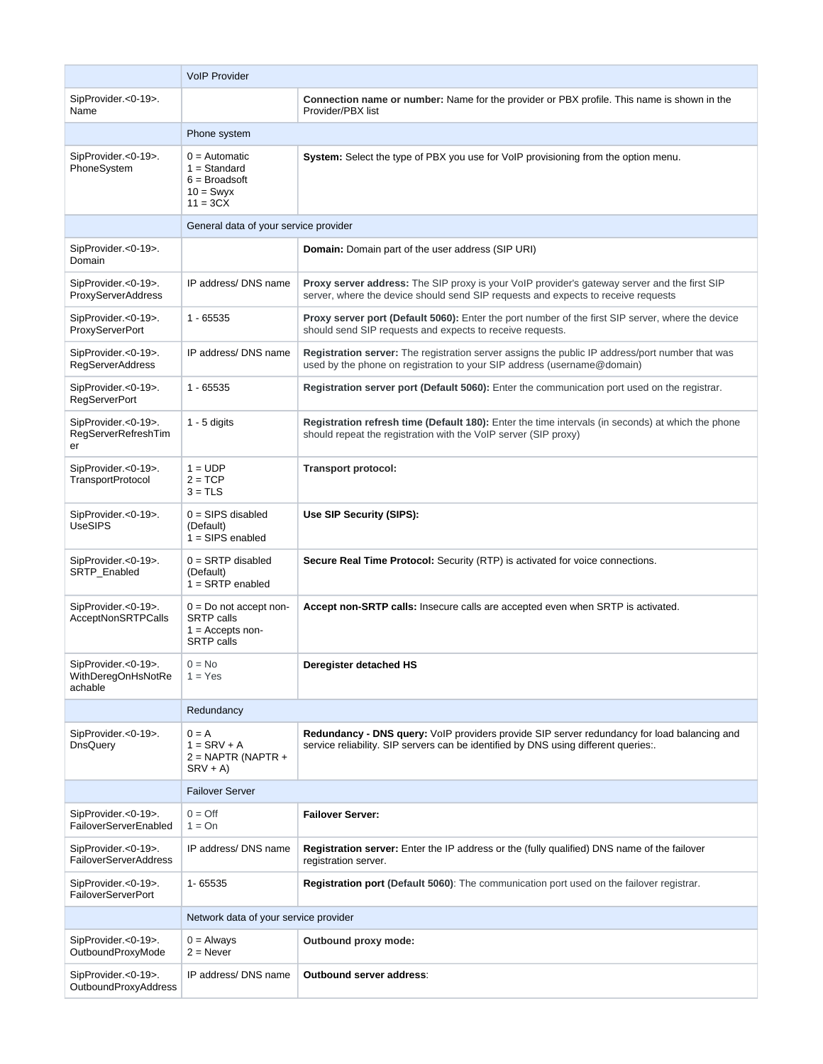|                                                      | <b>VoIP Provider</b>                                                                     |                                                                                                                                                                                    |
|------------------------------------------------------|------------------------------------------------------------------------------------------|------------------------------------------------------------------------------------------------------------------------------------------------------------------------------------|
| SipProvider.<0-19>.<br>Name                          |                                                                                          | Connection name or number: Name for the provider or PBX profile. This name is shown in the<br>Provider/PBX list                                                                    |
|                                                      | Phone system                                                                             |                                                                                                                                                                                    |
| SipProvider.<0-19>.<br>PhoneSystem                   | $0 =$ Automatic<br>$1 = Standard$<br>$6 =$ Broadsoft<br>$10 =$ Swyx<br>$11 = 3CX$        | System: Select the type of PBX you use for VoIP provisioning from the option menu.                                                                                                 |
|                                                      | General data of your service provider                                                    |                                                                                                                                                                                    |
| SipProvider.<0-19>.<br>Domain                        |                                                                                          | <b>Domain:</b> Domain part of the user address (SIP URI)                                                                                                                           |
| SipProvider.<0-19>.<br>ProxyServerAddress            | IP address/ DNS name                                                                     | Proxy server address: The SIP proxy is your VoIP provider's gateway server and the first SIP<br>server, where the device should send SIP requests and expects to receive requests  |
| SipProvider.<0-19>.<br>ProxyServerPort               | $1 - 65535$                                                                              | Proxy server port (Default 5060): Enter the port number of the first SIP server, where the device<br>should send SIP requests and expects to receive requests.                     |
| SipProvider.<0-19>.<br><b>RegServerAddress</b>       | IP address/ DNS name                                                                     | <b>Registration server:</b> The registration server assigns the public IP address/port number that was<br>used by the phone on registration to your SIP address (username@domain)  |
| SipProvider.<0-19>.<br><b>RegServerPort</b>          | 1 - 65535                                                                                | Registration server port (Default 5060): Enter the communication port used on the registrar.                                                                                       |
| SipProvider.<0-19>.<br>RegServerRefreshTim<br>er     | $1 - 5$ digits                                                                           | Registration refresh time (Default 180): Enter the time intervals (in seconds) at which the phone<br>should repeat the registration with the VoIP server (SIP proxy)               |
| SipProvider.<0-19>.<br><b>TransportProtocol</b>      | $1 = UDP$<br>$2 = TCP$<br>$3 = TLS$                                                      | <b>Transport protocol:</b>                                                                                                                                                         |
| SipProvider.<0-19>.<br><b>UseSIPS</b>                | $0 =$ SIPS disabled<br>(Default)<br>$1 =$ SIPS enabled                                   | Use SIP Security (SIPS):                                                                                                                                                           |
| SipProvider.<0-19>.<br>SRTP_Enabled                  | $0 =$ SRTP disabled<br>(Default)<br>$1 =$ SRTP enabled                                   | Secure Real Time Protocol: Security (RTP) is activated for voice connections.                                                                                                      |
| SipProvider.<0-19>.<br>AcceptNonSRTPCalls            | $0 = Do$ not accept non-<br><b>SRTP</b> calls<br>$1 =$ Accepts non-<br><b>SRTP</b> calls | Accept non-SRTP calls: Insecure calls are accepted even when SRTP is activated.                                                                                                    |
| SipProvider.<0-19>.<br>WithDeregOnHsNotRe<br>achable | $0 = No$<br>$1 = Yes$                                                                    | Deregister detached HS                                                                                                                                                             |
|                                                      | Redundancy                                                                               |                                                                                                                                                                                    |
| SipProvider.<0-19>.<br>DnsQuery                      | $0 = A$<br>$1 =$ SRV + A<br>$2 = NAPTR (NAPTR +$<br>$SRV + A$                            | Redundancy - DNS query: VoIP providers provide SIP server redundancy for load balancing and<br>service reliability. SIP servers can be identified by DNS using different queries:. |
|                                                      | <b>Failover Server</b>                                                                   |                                                                                                                                                                                    |
| SipProvider.<0-19>.<br>FailoverServerEnabled         | $0 = \text{Off}$<br>$1 = On$                                                             | <b>Failover Server:</b>                                                                                                                                                            |
| SipProvider.<0-19>.<br><b>FailoverServerAddress</b>  | IP address/ DNS name                                                                     | Registration server: Enter the IP address or the (fully qualified) DNS name of the failover<br>registration server.                                                                |
| SipProvider.<0-19>.<br><b>FailoverServerPort</b>     | 1-65535                                                                                  | Registration port (Default 5060): The communication port used on the failover registrar.                                                                                           |
|                                                      | Network data of your service provider                                                    |                                                                                                                                                                                    |
| SipProvider.<0-19>.<br>OutboundProxyMode             | $0 =$ Always<br>$2 =$ Never                                                              | Outbound proxy mode:                                                                                                                                                               |
| SipProvider.<0-19>.<br>OutboundProxyAddress          | IP address/ DNS name                                                                     | Outbound server address:                                                                                                                                                           |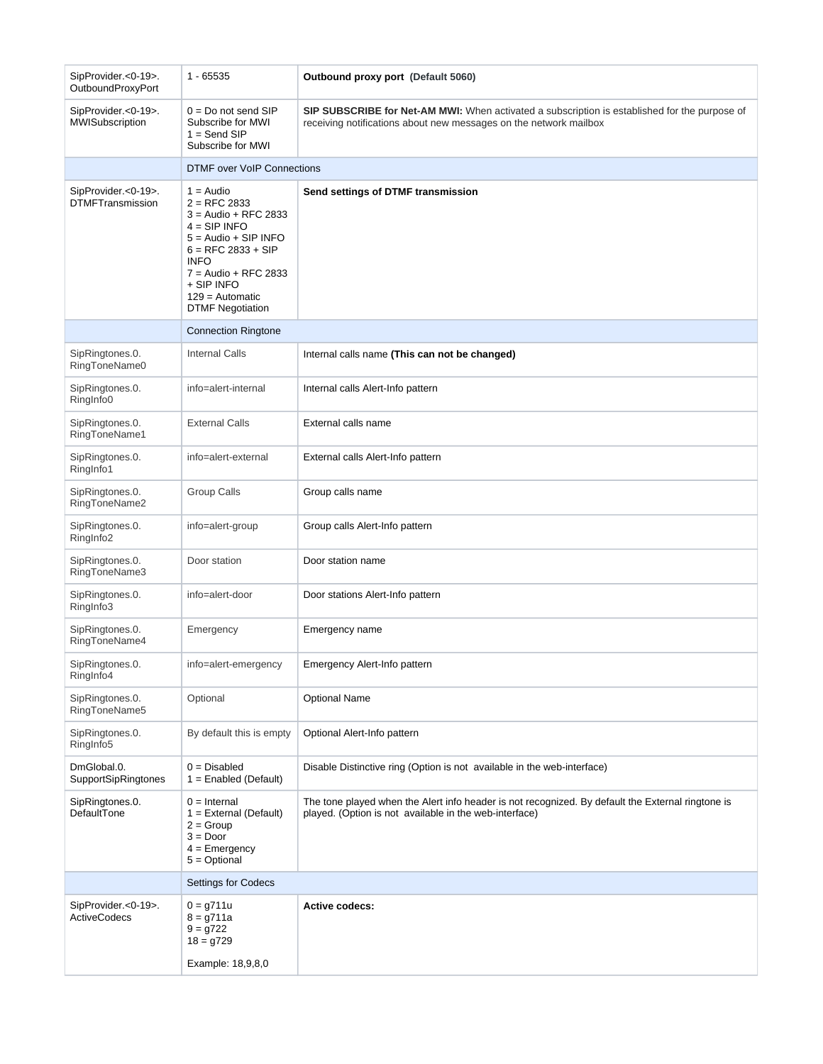| SipProvider.<0-19>.<br>OutboundProxyPort       | $1 - 65535$                                                                                                                                                                                                                        | Outbound proxy port (Default 5060)                                                                                                                                 |
|------------------------------------------------|------------------------------------------------------------------------------------------------------------------------------------------------------------------------------------------------------------------------------------|--------------------------------------------------------------------------------------------------------------------------------------------------------------------|
| SipProvider.<0-19>.<br>MWISubscription         | $0 = Do$ not send SIP<br>Subscribe for MWI<br>$1 =$ Send SIP<br>Subscribe for MWI                                                                                                                                                  | SIP SUBSCRIBE for Net-AM MWI: When activated a subscription is established for the purpose of<br>receiving notifications about new messages on the network mailbox |
|                                                | <b>DTMF</b> over VoIP Connections                                                                                                                                                                                                  |                                                                                                                                                                    |
| SipProvider.<0-19>.<br><b>DTMFTransmission</b> | $1 =$ Audio<br>$2 =$ RFC 2833<br>$3 =$ Audio + RFC 2833<br>$4 =$ SIP INFO<br>$5 =$ Audio + SIP INFO<br>$6 =$ RFC 2833 + SIP<br><b>INFO</b><br>$7 =$ Audio + RFC 2833<br>+ SIP INFO<br>$129 =$ Automatic<br><b>DTMF Negotiation</b> | Send settings of DTMF transmission                                                                                                                                 |
|                                                | <b>Connection Ringtone</b>                                                                                                                                                                                                         |                                                                                                                                                                    |
| SipRingtones.0.<br>RingToneName0               | <b>Internal Calls</b>                                                                                                                                                                                                              | Internal calls name (This can not be changed)                                                                                                                      |
| SipRingtones.0.<br>RingInfo0                   | info=alert-internal                                                                                                                                                                                                                | Internal calls Alert-Info pattern                                                                                                                                  |
| SipRingtones.0.<br>RingToneName1               | <b>External Calls</b>                                                                                                                                                                                                              | External calls name                                                                                                                                                |
| SipRingtones.0.<br>RingInfo1                   | info=alert-external                                                                                                                                                                                                                | External calls Alert-Info pattern                                                                                                                                  |
| SipRingtones.0.<br>RingToneName2               | Group Calls                                                                                                                                                                                                                        | Group calls name                                                                                                                                                   |
| SipRingtones.0.<br>RingInfo2                   | info=alert-group                                                                                                                                                                                                                   | Group calls Alert-Info pattern                                                                                                                                     |
| SipRingtones.0.<br>RingToneName3               | Door station                                                                                                                                                                                                                       | Door station name                                                                                                                                                  |
| SipRingtones.0.<br>RingInfo3                   | info=alert-door                                                                                                                                                                                                                    | Door stations Alert-Info pattern                                                                                                                                   |
| SipRingtones.0.<br>RingToneName4               | Emergency                                                                                                                                                                                                                          | Emergency name                                                                                                                                                     |
| SipRingtones.0.<br>RingInfo4                   | info=alert-emergency                                                                                                                                                                                                               | Emergency Alert-Info pattern                                                                                                                                       |
| SipRingtones.0.<br>RingToneName5               | Optional                                                                                                                                                                                                                           | <b>Optional Name</b>                                                                                                                                               |
| SipRingtones.0.<br>RingInfo5                   | By default this is empty                                                                                                                                                                                                           | Optional Alert-Info pattern                                                                                                                                        |
| DmGlobal.0.<br>SupportSipRingtones             | $0 = Disabled$<br>$1 =$ Enabled (Default)                                                                                                                                                                                          | Disable Distinctive ring (Option is not available in the web-interface)                                                                                            |
| SipRingtones.0.<br>DefaultTone                 | $0 =$ Internal<br>$1 =$ External (Default)<br>$2 =$ Group<br>$3 = Door$<br>$4 =$ Emergency<br>$5 =$ Optional                                                                                                                       | The tone played when the Alert info header is not recognized. By default the External ringtone is<br>played. (Option is not available in the web-interface)        |
|                                                | Settings for Codecs                                                                                                                                                                                                                |                                                                                                                                                                    |
| SipProvider.<0-19>.<br><b>ActiveCodecs</b>     | $0 = 9711u$<br>$8 = 9711a$<br>$9 = 9722$<br>$18 = 9729$<br>Example: 18,9,8,0                                                                                                                                                       | <b>Active codecs:</b>                                                                                                                                              |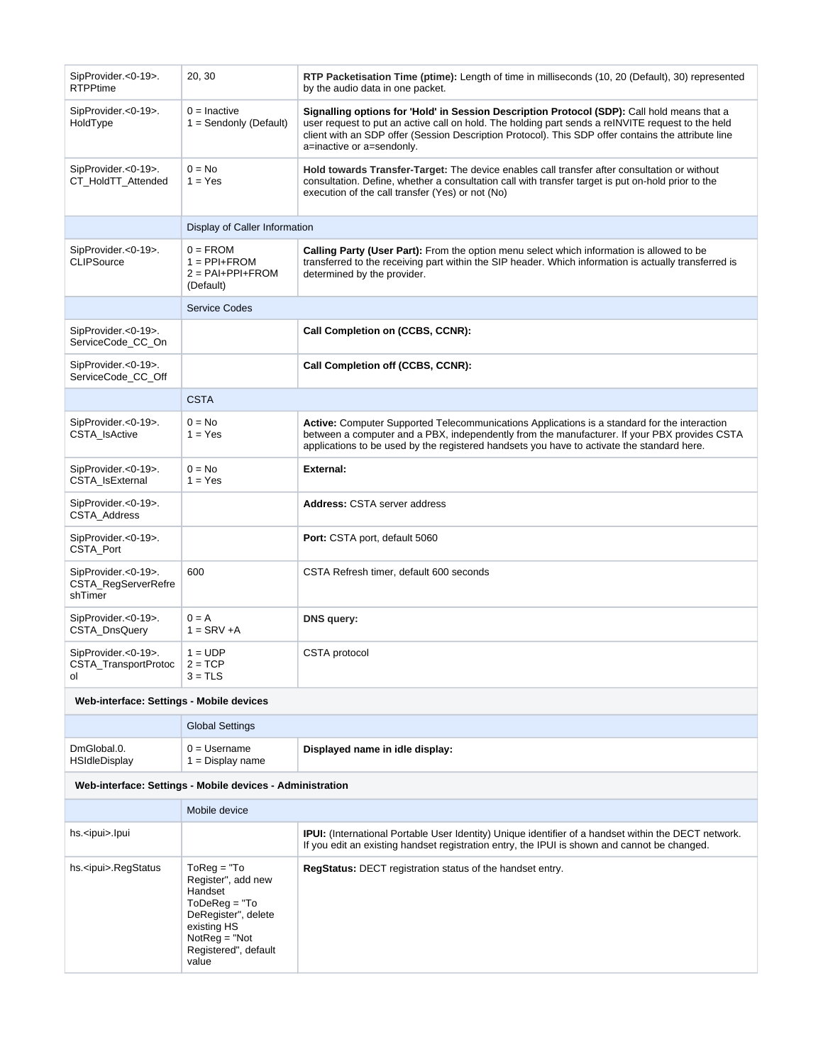| SipProvider.<0-19>.<br><b>RTPPtime</b>                    | 20, 30                                                            | RTP Packetisation Time (ptime): Length of time in milliseconds (10, 20 (Default), 30) represented<br>by the audio data in one packet.                                                                                                                                                                                                |
|-----------------------------------------------------------|-------------------------------------------------------------------|--------------------------------------------------------------------------------------------------------------------------------------------------------------------------------------------------------------------------------------------------------------------------------------------------------------------------------------|
| SipProvider.<0-19>.<br>HoldType                           | $0 =$ Inactive<br>$1 =$ Sendonly (Default)                        | Signalling options for 'Hold' in Session Description Protocol (SDP): Call hold means that a<br>user request to put an active call on hold. The holding part sends a reINVITE request to the held<br>client with an SDP offer (Session Description Protocol). This SDP offer contains the attribute line<br>a=inactive or a=sendonly. |
| SipProvider.<0-19>.<br>CT_HoldTT_Attended                 | $0 = No$<br>$1 = Yes$                                             | Hold towards Transfer-Target: The device enables call transfer after consultation or without<br>consultation. Define, whether a consultation call with transfer target is put on-hold prior to the<br>execution of the call transfer (Yes) or not (No)                                                                               |
|                                                           | Display of Caller Information                                     |                                                                                                                                                                                                                                                                                                                                      |
| SipProvider.<0-19>.<br><b>CLIPSource</b>                  | $0 = FROM$<br>$1 = PPI + FROM$<br>$2 = PAI+PPI+FROM$<br>(Default) | Calling Party (User Part): From the option menu select which information is allowed to be<br>transferred to the receiving part within the SIP header. Which information is actually transferred is<br>determined by the provider.                                                                                                    |
|                                                           | <b>Service Codes</b>                                              |                                                                                                                                                                                                                                                                                                                                      |
| SipProvider.<0-19>.<br>ServiceCode_CC_On                  |                                                                   | Call Completion on (CCBS, CCNR):                                                                                                                                                                                                                                                                                                     |
| SipProvider.<0-19>.<br>ServiceCode_CC_Off                 |                                                                   | Call Completion off (CCBS, CCNR):                                                                                                                                                                                                                                                                                                    |
|                                                           | <b>CSTA</b>                                                       |                                                                                                                                                                                                                                                                                                                                      |
| SipProvider.<0-19>.<br>CSTA_IsActive                      | $0 = No$<br>$1 = Yes$                                             | <b>Active:</b> Computer Supported Telecommunications Applications is a standard for the interaction<br>between a computer and a PBX, independently from the manufacturer. If your PBX provides CSTA<br>applications to be used by the registered handsets you have to activate the standard here.                                    |
| SipProvider.<0-19>.<br>CSTA_IsExternal                    | $0 = No$<br>$1 = Yes$                                             | <b>External:</b>                                                                                                                                                                                                                                                                                                                     |
| SipProvider.<0-19>.<br><b>CSTA Address</b>                |                                                                   | <b>Address: CSTA server address</b>                                                                                                                                                                                                                                                                                                  |
| SipProvider.<0-19>.<br>CSTA_Port                          |                                                                   | <b>Port:</b> CSTA port, default 5060                                                                                                                                                                                                                                                                                                 |
| SipProvider.<0-19>.<br>CSTA_RegServerRefre<br>shTimer     | 600                                                               | CSTA Refresh timer, default 600 seconds                                                                                                                                                                                                                                                                                              |
| SipProvider.<0-19>.<br>CSTA_DnsQuery                      | $0 = A$<br>$1 =$ SRV +A                                           | DNS query:                                                                                                                                                                                                                                                                                                                           |
| SipProvider.<0-19>.<br>CSTA_TransportProtoc<br>ol         | $1 = UDP$<br>$2 = TCP$<br>$3 = TLS$                               | <b>CSTA</b> protocol                                                                                                                                                                                                                                                                                                                 |
| Web-interface: Settings - Mobile devices                  |                                                                   |                                                                                                                                                                                                                                                                                                                                      |
|                                                           | <b>Global Settings</b>                                            |                                                                                                                                                                                                                                                                                                                                      |
| DmGlobal.0.<br>HSIdleDisplay                              | $0 = U$ sername<br>$1 =$ Display name                             | Displayed name in idle display:                                                                                                                                                                                                                                                                                                      |
| Web-interface: Settings - Mobile devices - Administration |                                                                   |                                                                                                                                                                                                                                                                                                                                      |
|                                                           | Mobile device                                                     |                                                                                                                                                                                                                                                                                                                                      |

|                             | MODIIE GEVICE                                                                                                                                                |                                                                                                                                                                                                             |
|-----------------------------|--------------------------------------------------------------------------------------------------------------------------------------------------------------|-------------------------------------------------------------------------------------------------------------------------------------------------------------------------------------------------------------|
| hs. <ipui>.lpui</ipui>      |                                                                                                                                                              | <b>IPUI:</b> (International Portable User Identity) Unique identifier of a handset within the DECT network.<br>If you edit an existing handset registration entry, the IPUI is shown and cannot be changed. |
| hs. <ipui>.RegStatus</ipui> | $To$ Req = "To<br>Register", add new<br>Handset<br>$ToDeReq = "To$<br>DeRegister", delete<br>existing HS<br>$NotReg = "Not$<br>Registered", default<br>value | <b>RegStatus: DECT registration status of the handset entry.</b>                                                                                                                                            |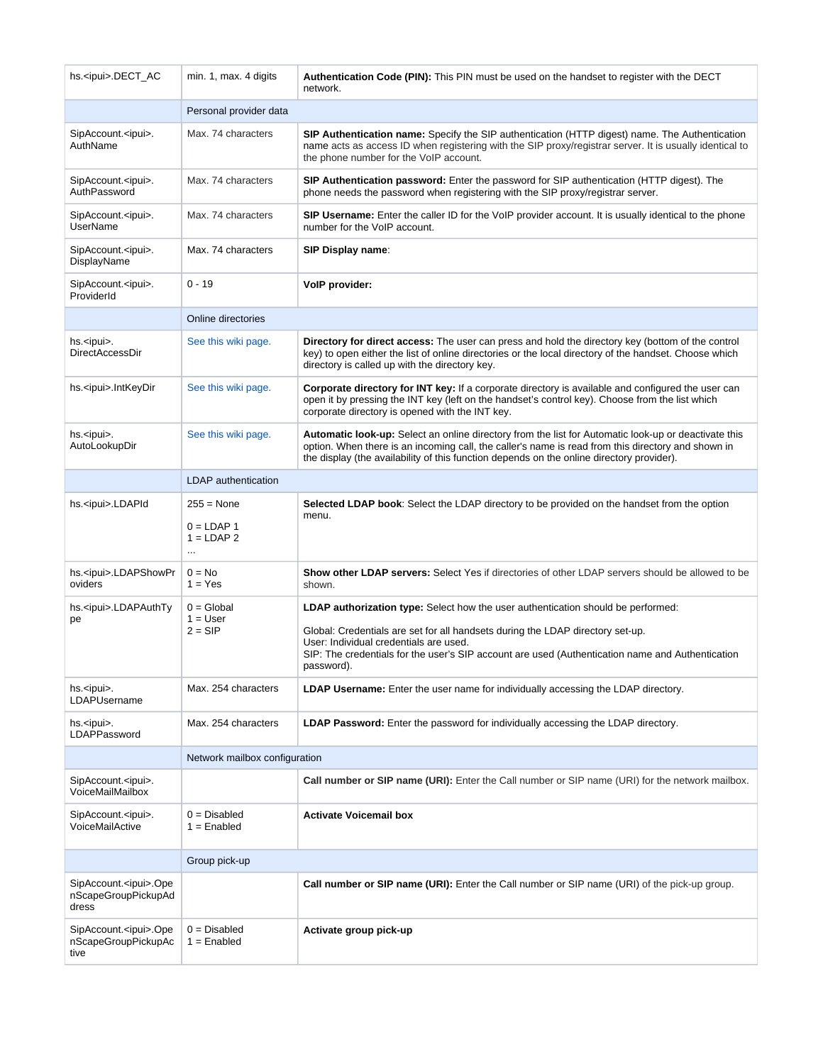| hs. <ipui>.DECT_AC</ipui>                                       | min. 1, max. 4 digits                                   | <b>Authentication Code (PIN):</b> This PIN must be used on the handset to register with the DECT<br>network.                                                                                                                                                                                                                   |
|-----------------------------------------------------------------|---------------------------------------------------------|--------------------------------------------------------------------------------------------------------------------------------------------------------------------------------------------------------------------------------------------------------------------------------------------------------------------------------|
|                                                                 | Personal provider data                                  |                                                                                                                                                                                                                                                                                                                                |
| SipAccount. <ipui>.<br/>AuthName</ipui>                         | Max. 74 characters                                      | SIP Authentication name: Specify the SIP authentication (HTTP digest) name. The Authentication<br>name acts as access ID when registering with the SIP proxy/registrar server. It is usually identical to<br>the phone number for the VoIP account.                                                                            |
| SipAccount. <ipui>.<br/>AuthPassword</ipui>                     | Max. 74 characters                                      | SIP Authentication password: Enter the password for SIP authentication (HTTP digest). The<br>phone needs the password when registering with the SIP proxy/registrar server.                                                                                                                                                    |
| SipAccount. <ipui>.<br/><b>UserName</b></ipui>                  | Max. 74 characters                                      | SIP Username: Enter the caller ID for the VoIP provider account. It is usually identical to the phone<br>number for the VoIP account.                                                                                                                                                                                          |
| SipAccount. <ipui>.<br/>DisplayName</ipui>                      | Max. 74 characters                                      | SIP Display name:                                                                                                                                                                                                                                                                                                              |
| SipAccount. <ipui>.<br/>ProviderId</ipui>                       | $0 - 19$                                                | VolP provider:                                                                                                                                                                                                                                                                                                                 |
|                                                                 | Online directories                                      |                                                                                                                                                                                                                                                                                                                                |
| hs. <ipui>.<br/>DirectAccessDir</ipui>                          | See this wiki page.                                     | Directory for direct access: The user can press and hold the directory key (bottom of the control<br>key) to open either the list of online directories or the local directory of the handset. Choose which<br>directory is called up with the directory key.                                                                  |
| hs. <ipui>.IntKeyDir</ipui>                                     | See this wiki page.                                     | Corporate directory for INT key: If a corporate directory is available and configured the user can<br>open it by pressing the INT key (left on the handset's control key). Choose from the list which<br>corporate directory is opened with the INT key.                                                                       |
| hs. <ipui>.<br/>AutoLookupDir</ipui>                            | See this wiki page.                                     | Automatic look-up: Select an online directory from the list for Automatic look-up or deactivate this<br>option. When there is an incoming call, the caller's name is read from this directory and shown in<br>the display (the availability of this function depends on the online directory provider).                        |
|                                                                 | <b>LDAP</b> authentication                              |                                                                                                                                                                                                                                                                                                                                |
| hs. <ipui>.LDAPId</ipui>                                        | $255 = None$<br>$0 = LDAP 1$<br>$1 = LDAP2$<br>$\ldots$ | <b>Selected LDAP book:</b> Select the LDAP directory to be provided on the handset from the option<br>menu.                                                                                                                                                                                                                    |
| hs. <ipui>.LDAPShowPr<br/>oviders</ipui>                        | $0 = No$<br>$1 = Yes$                                   | <b>Show other LDAP servers:</b> Select Yes if directories of other LDAP servers should be allowed to be<br>shown.                                                                                                                                                                                                              |
| hs. <ipui>.LDAPAuthTy<br/>pe</ipui>                             | $0 = Global$<br>$1 = User$<br>$2 = SIP$                 | LDAP authorization type: Select how the user authentication should be performed:<br>Global: Credentials are set for all handsets during the LDAP directory set-up.<br>User: Individual credentials are used.<br>SIP: The credentials for the user's SIP account are used (Authentication name and Authentication<br>password). |
| hs. <ipui>.<br/>LDAPUsername</ipui>                             | Max. 254 characters                                     | <b>LDAP Username:</b> Enter the user name for individually accessing the LDAP directory.                                                                                                                                                                                                                                       |
| hs. <ipui>.<br/>LDAPPassword</ipui>                             | Max. 254 characters                                     | <b>LDAP Password:</b> Enter the password for individually accessing the LDAP directory.                                                                                                                                                                                                                                        |
|                                                                 | Network mailbox configuration                           |                                                                                                                                                                                                                                                                                                                                |
| SipAccount. <ipui>.<br/>VoiceMailMailbox</ipui>                 |                                                         | Call number or SIP name (URI): Enter the Call number or SIP name (URI) for the network mailbox.                                                                                                                                                                                                                                |
| SipAccount. <ipui>.<br/>VoiceMailActive</ipui>                  | $0 = Disabled$<br>$1 =$ Enabled                         | <b>Activate Voicemail box</b>                                                                                                                                                                                                                                                                                                  |
|                                                                 | Group pick-up                                           |                                                                                                                                                                                                                                                                                                                                |
| SipAccount. <ipui>.Ope<br/>nScapeGroupPickupAd<br/>dress</ipui> |                                                         | Call number or SIP name (URI): Enter the Call number or SIP name (URI) of the pick-up group.                                                                                                                                                                                                                                   |
| SipAccount. <ipui>.Ope<br/>nScapeGroupPickupAc<br/>tive</ipui>  | $0 = Disabled$<br>$1 =$ Enabled                         | Activate group pick-up                                                                                                                                                                                                                                                                                                         |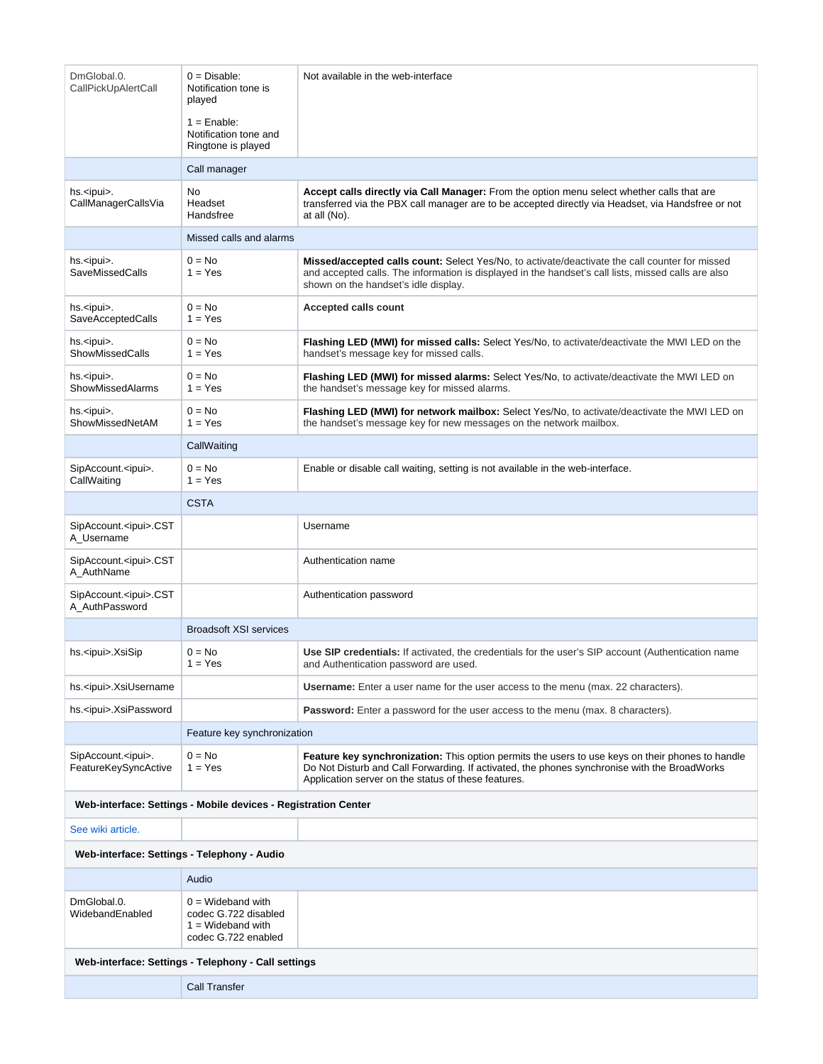| DmGlobal.0.<br>CallPickUpAlertCall                  | $0 = Disable:$<br>Notification tone is<br>played                                          | Not available in the web-interface                                                                                                                                                                                                                      |  |
|-----------------------------------------------------|-------------------------------------------------------------------------------------------|---------------------------------------------------------------------------------------------------------------------------------------------------------------------------------------------------------------------------------------------------------|--|
|                                                     | $1 =$ Enable:<br>Notification tone and<br>Ringtone is played                              |                                                                                                                                                                                                                                                         |  |
|                                                     | Call manager                                                                              |                                                                                                                                                                                                                                                         |  |
| hs. <ipui>.<br/>CallManagerCallsVia</ipui>          | No<br>Headset<br>Handsfree                                                                | Accept calls directly via Call Manager: From the option menu select whether calls that are<br>transferred via the PBX call manager are to be accepted directly via Headset, via Handsfree or not<br>at all (No).                                        |  |
|                                                     | Missed calls and alarms                                                                   |                                                                                                                                                                                                                                                         |  |
| hs. <ipui>.<br/><b>SaveMissedCalls</b></ipui>       | $0 = No$<br>$1 = Yes$                                                                     | <b>Missed/accepted calls count:</b> Select Yes/No, to activate/deactivate the call counter for missed<br>and accepted calls. The information is displayed in the handset's call lists, missed calls are also<br>shown on the handset's idle display.    |  |
| hs. <ipui>.<br/>SaveAcceptedCalls</ipui>            | $0 = No$<br>$1 = Yes$                                                                     | <b>Accepted calls count</b>                                                                                                                                                                                                                             |  |
| hs. <ipui>.<br/>ShowMissedCalls</ipui>              | $0 = No$<br>$1 = Yes$                                                                     | Flashing LED (MWI) for missed calls: Select Yes/No, to activate/deactivate the MWI LED on the<br>handset's message key for missed calls.                                                                                                                |  |
| hs. <ipui>.<br/>ShowMissedAlarms</ipui>             | $0 = No$<br>$1 = Yes$                                                                     | Flashing LED (MWI) for missed alarms: Select Yes/No, to activate/deactivate the MWI LED on<br>the handset's message key for missed alarms.                                                                                                              |  |
| hs. <ipui>.<br/>ShowMissedNetAM</ipui>              | $0 = No$<br>$1 = Yes$                                                                     | Flashing LED (MWI) for network mailbox: Select Yes/No, to activate/deactivate the MWI LED on<br>the handset's message key for new messages on the network mailbox.                                                                                      |  |
|                                                     | CallWaiting                                                                               |                                                                                                                                                                                                                                                         |  |
| SipAccount. <ipui>.<br/>CallWaiting</ipui>          | $0 = No$<br>$1 = Yes$                                                                     | Enable or disable call waiting, setting is not available in the web-interface.                                                                                                                                                                          |  |
|                                                     | <b>CSTA</b>                                                                               |                                                                                                                                                                                                                                                         |  |
| SipAccount. <ipui>.CST<br/>A_Username</ipui>        |                                                                                           | Username                                                                                                                                                                                                                                                |  |
| SipAccount. <ipui>.CST<br/>A_AuthName</ipui>        |                                                                                           | Authentication name                                                                                                                                                                                                                                     |  |
| SipAccount. <ipui>.CST<br/>A_AuthPassword</ipui>    |                                                                                           | Authentication password                                                                                                                                                                                                                                 |  |
|                                                     | <b>Broadsoft XSI services</b>                                                             |                                                                                                                                                                                                                                                         |  |
| hs. <ipui>.XsiSip</ipui>                            | $0 = No$<br>$1 = Yes$                                                                     | Use SIP credentials: If activated, the credentials for the user's SIP account (Authentication name<br>and Authentication password are used.                                                                                                             |  |
| hs. <ipui>.XsiUsername</ipui>                       |                                                                                           | <b>Username:</b> Enter a user name for the user access to the menu (max. 22 characters).                                                                                                                                                                |  |
| hs. <ipui>.XsiPassword</ipui>                       |                                                                                           | <b>Password:</b> Enter a password for the user access to the menu (max. 8 characters).                                                                                                                                                                  |  |
|                                                     | Feature key synchronization                                                               |                                                                                                                                                                                                                                                         |  |
| SipAccount. <ipui>.<br/>FeatureKeySyncActive</ipui> | $0 = No$<br>$1 = Yes$                                                                     | Feature key synchronization: This option permits the users to use keys on their phones to handle<br>Do Not Disturb and Call Forwarding. If activated, the phones synchronise with the BroadWorks<br>Application server on the status of these features. |  |
|                                                     | Web-interface: Settings - Mobile devices - Registration Center                            |                                                                                                                                                                                                                                                         |  |
| See wiki article.                                   |                                                                                           |                                                                                                                                                                                                                                                         |  |
| Web-interface: Settings - Telephony - Audio         |                                                                                           |                                                                                                                                                                                                                                                         |  |
|                                                     | Audio                                                                                     |                                                                                                                                                                                                                                                         |  |
| DmGlobal.0.<br>WidebandEnabled                      | $0 =$ Wideband with<br>codec G.722 disabled<br>$1 =$ Wideband with<br>codec G.722 enabled |                                                                                                                                                                                                                                                         |  |
| Web-interface: Settings - Telephony - Call settings |                                                                                           |                                                                                                                                                                                                                                                         |  |
|                                                     | <b>Call Transfer</b>                                                                      |                                                                                                                                                                                                                                                         |  |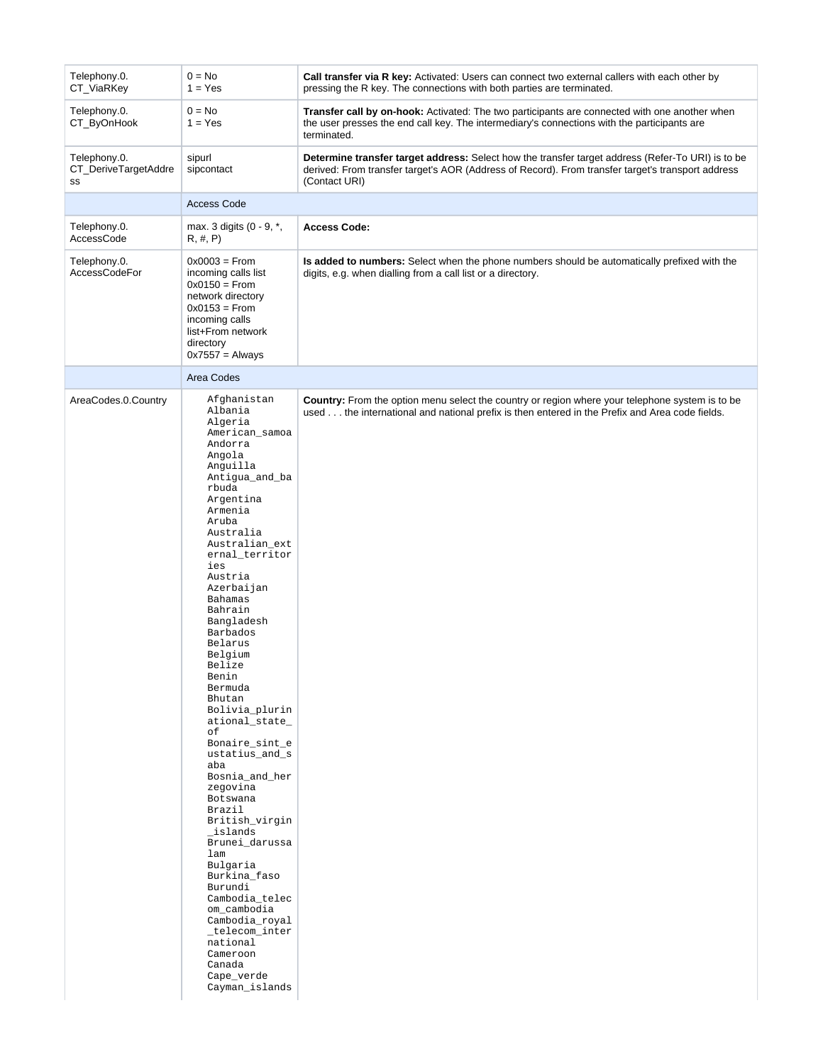| Telephony.0.<br>CT_ViaRKey                 | $0 = No$<br>$1 = Yes$                                                                                                                                                                                                                                                                                                                                                                                                                                                                                                                                                                                                                                                                                                                | Call transfer via R key: Activated: Users can connect two external callers with each other by<br>pressing the R key. The connections with both parties are terminated.                                                  |
|--------------------------------------------|--------------------------------------------------------------------------------------------------------------------------------------------------------------------------------------------------------------------------------------------------------------------------------------------------------------------------------------------------------------------------------------------------------------------------------------------------------------------------------------------------------------------------------------------------------------------------------------------------------------------------------------------------------------------------------------------------------------------------------------|-------------------------------------------------------------------------------------------------------------------------------------------------------------------------------------------------------------------------|
| Telephony.0.<br>CT_ByOnHook                | $0 = No$<br>$1 = Yes$                                                                                                                                                                                                                                                                                                                                                                                                                                                                                                                                                                                                                                                                                                                | <b>Transfer call by on-hook:</b> Activated: The two participants are connected with one another when<br>the user presses the end call key. The intermediary's connections with the participants are<br>terminated.      |
| Telephony.0.<br>CT_DeriveTargetAddre<br>SS | sipurl<br>sipcontact                                                                                                                                                                                                                                                                                                                                                                                                                                                                                                                                                                                                                                                                                                                 | Determine transfer target address: Select how the transfer target address (Refer-To URI) is to be<br>derived: From transfer target's AOR (Address of Record). From transfer target's transport address<br>(Contact URI) |
|                                            | <b>Access Code</b>                                                                                                                                                                                                                                                                                                                                                                                                                                                                                                                                                                                                                                                                                                                   |                                                                                                                                                                                                                         |
| Telephony.0.<br>AccessCode                 | max. 3 digits (0 - 9, *,<br>R, #, P                                                                                                                                                                                                                                                                                                                                                                                                                                                                                                                                                                                                                                                                                                  | <b>Access Code:</b>                                                                                                                                                                                                     |
| Telephony.0.<br><b>AccessCodeFor</b>       | $0x0003 =$ From<br>incoming calls list<br>$0x0150 =$ From<br>network directory<br>$0x0153 =$ From<br>incoming calls<br>list+From network<br>directory<br>$0x7557 =$ Always                                                                                                                                                                                                                                                                                                                                                                                                                                                                                                                                                           | <b>Is added to numbers:</b> Select when the phone numbers should be automatically prefixed with the<br>digits, e.g. when dialling from a call list or a directory.                                                      |
|                                            | Area Codes                                                                                                                                                                                                                                                                                                                                                                                                                                                                                                                                                                                                                                                                                                                           |                                                                                                                                                                                                                         |
| AreaCodes.0.Country                        | Afghanistan<br>Albania<br>Algeria<br>American_samoa<br>Andorra<br>Angola<br>Anguilla<br>Antigua_and_ba<br>rbuda<br>Argentina<br>Armenia<br>Aruba<br>Australia<br>Australian_ext<br>ernal_territor<br>ies<br>Austria<br>Azerbaijan<br><b>Bahamas</b><br>Bahrain<br>Bangladesh<br>Barbados<br>Belarus<br>Belgium<br>Belize<br>Benin<br>Bermuda<br>Bhutan<br>Bolivia_plurin<br>ational_state_<br>оf<br>Bonaire_sint_e<br>ustatius_and_s<br>aba<br>Bosnia_and_her<br>zegovina<br>Botswana<br>Brazil<br>British_virgin<br>_islands<br>Brunei_darussa<br>lam<br>Bulgaria<br>Burkina_faso<br>Burundi<br>Cambodia_telec<br>om_cambodia<br>Cambodia_royal<br>_telecom_inter<br>national<br>Cameroon<br>Canada<br>Cape_verde<br>Cayman_islands | Country: From the option menu select the country or region where your telephone system is to be<br>used the international and national prefix is then entered in the Prefix and Area code fields.                       |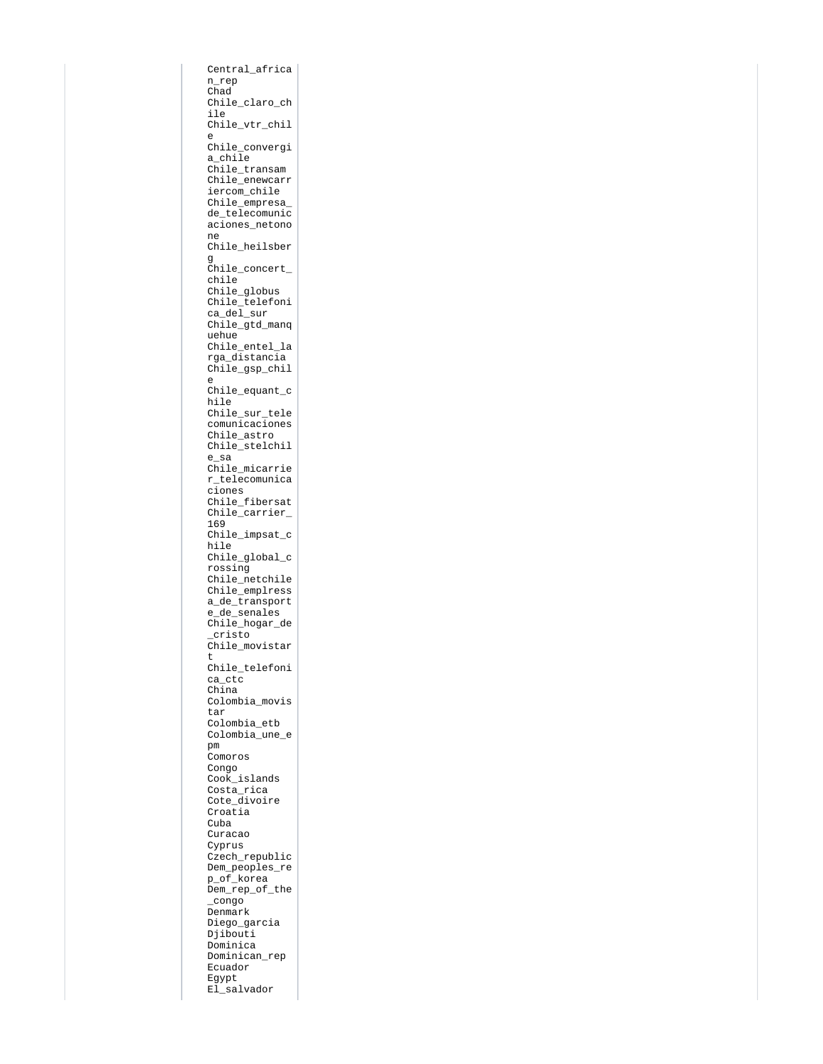```
Central_africa
n_rep
Chad
Chile_claro_ch
ile
Chile_vtr_chil
e
Chile_convergi
a_chile
Chile_transam
Chile_enewcarr
iercom_chile
Chile_empresa_
de telecomunic
aciones_netono
ne
Chile_heilsber
g
Chile_concert_
chile
Chile globus
Chile_telefoni
ca del sur
Chile_gtd_manq
uehue
Chile_entel_la
rga_distancia
Chile_gsp_chil
e
Chile_equant_c
hile
Chile_sur_tele
comunicaciones
Chile_astro
Chile_stelchil
e_sa
Chile micarrie
r_telecomunica
ciones
Chile_fibersat
Chile_carrier_
169
Chile_impsat_c
hile
Chile global c
rossing
Chile_netchile
Chile_emplress
a_de_transport
e_de_senales
Chile_hogar_de
_cristo
Chile_movistar
t
Chile_telefoni
ca_ctc
China
Colombia_movis
tar
Colombia_etb
Colombia_une_e
pm
Comoros
Congo
Cook_islands
Costa_rica
Cote_divoire
Croatia
Cuba
Curacao
Cyprus
Czech_republic
Dem_peoples_re
p_of_korea
Dem_rep_of_the
_congo
Denmark
Diego_garcia
Djibouti
Dominica
Dominican_rep
Ecuador
Egypt
El_salvador
```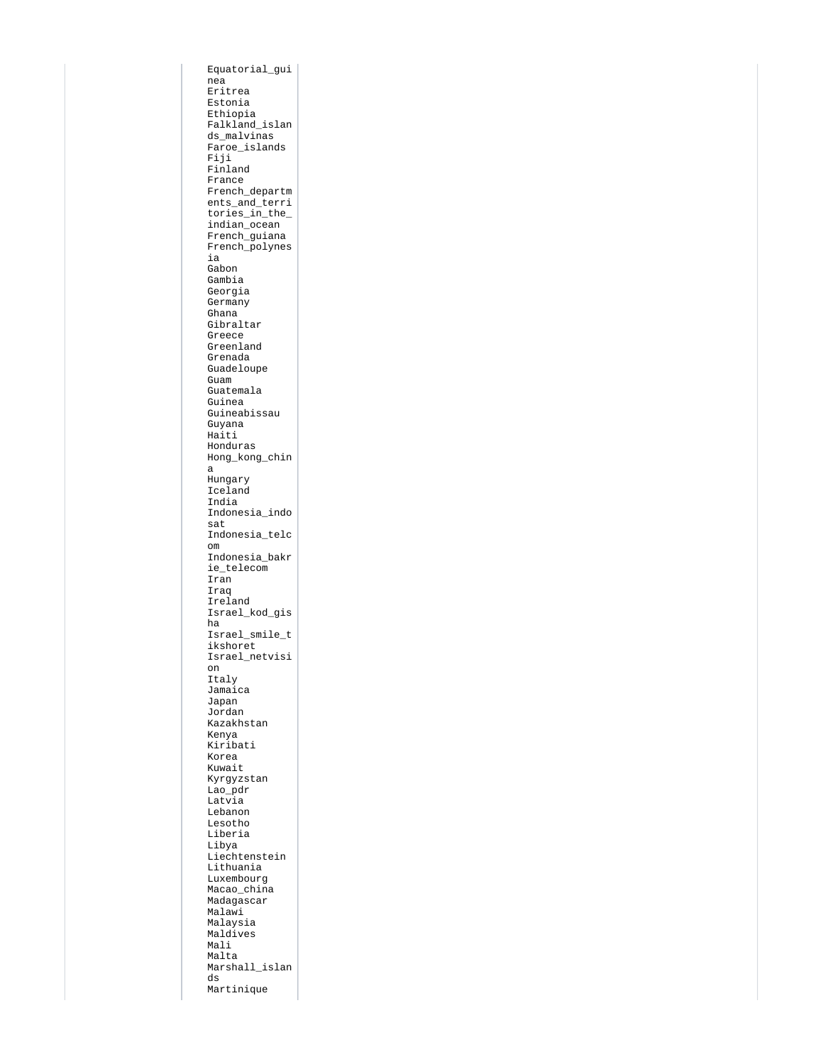Equatorial\_gui nea Eritrea Estonia Ethiopia Falkland\_islan ds malvinas Faroe\_islands Fiji Finland France French\_departm  $\frac{1}{\pi}$  ents and terri tories\_in\_the\_ indian\_ocean French\_guiana French\_polynes ia Gabon Gambia Georgia Germany Ghana Gibraltar Greece Greenland Grenada Guadeloupe Guam Guatemala Guinea Guineabissau Guyana Haiti Honduras Hong\_kong\_chin a Hungary Iceland India Indonesia\_indo sat Indonesia\_telc om Indonesia\_bakr ie telecom Iran Iraq Ireland Israel\_kod\_gis ha Israel\_smile\_t ikshoret Israel\_netvisi on Italy Jamaica Japan Jordan Kazakhstan Kenya Kiribati Korea Kuwait Kyrgyzstan Lao\_pdr Latvia Lebanon Lesotho Liberia Libya Liechtenstein Lithuania Luxembourg Macao\_china Madagascar Malawi Malaysia Maldives Mali Malta Marshall\_islan ds Martinique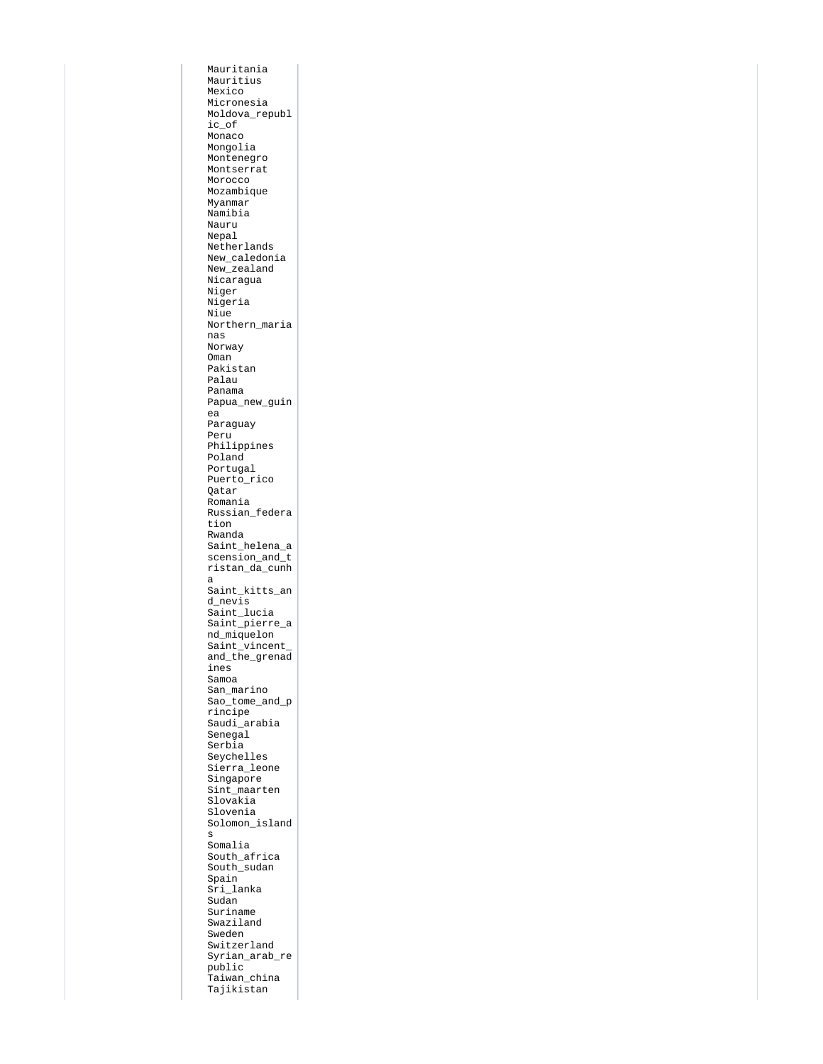Mauritania Mauritius Mexico Micronesia Moldova\_republ ic\_of Monaco Mongolia Montenegro Montserrat Morocco Mozambique Myanmar Namibia Nauru Nepal Netherlands New\_caledonia New\_zealand Nicaragua Niger Nigeria Niue Northern\_maria nas Norway Oman Pakistan Palau Panama Papua\_new\_guin ea Paraguay Peru Philippines Poland Portugal Puerto\_rico Qatar Romania Russian\_federa tion Rwanda Saint\_helena\_a scension and  $\overline{t}$ ristan\_da\_cunh a Saint\_kitts\_an d\_nevis Saint\_lucia Saint\_pierre\_a nd\_miquelon Saint vincent and\_the\_grenad ines Samoa San\_marino Sao\_tome\_and\_p rincipe Saudi\_arabia Senegal Serbia Seychelles Sierra\_leone Singapore Sint\_maarten Slovakia Slovenia Solomon\_island s Somalia South\_africa South\_sudan Spain Sri\_lanka Sudan Suriname Swaziland Sweden Switzerland Syrian\_arab\_re public Taiwan\_china Tajikistan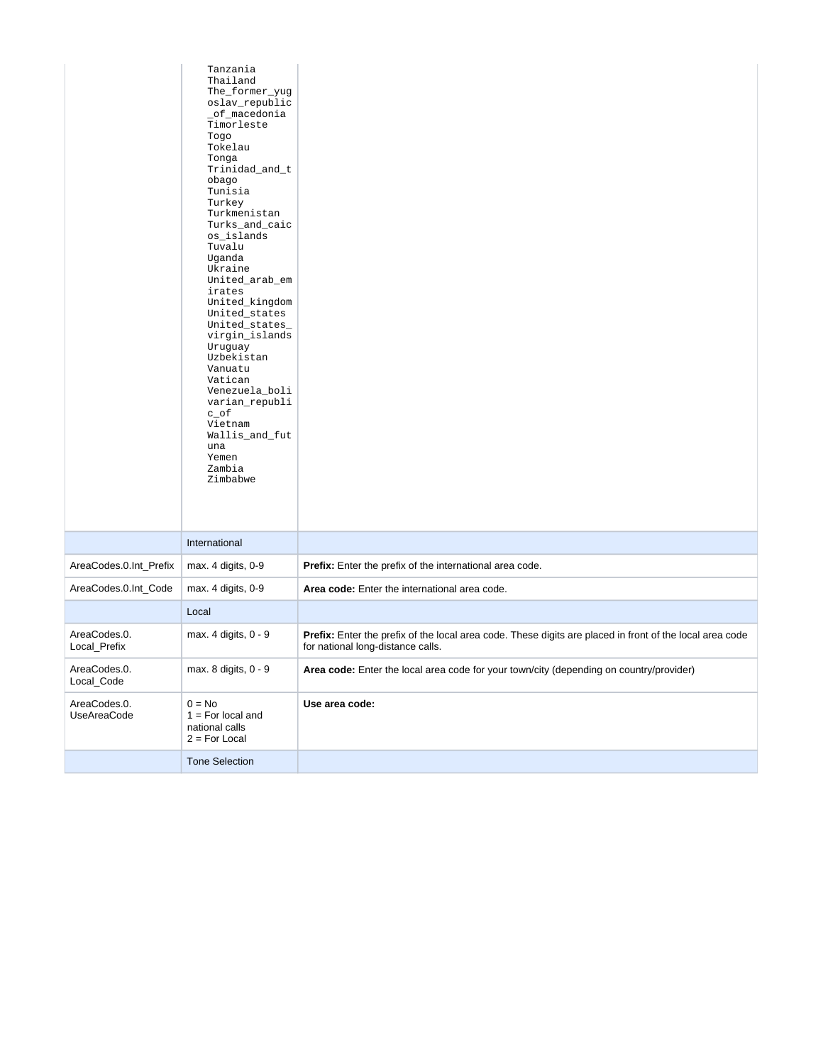|                              | Tanzania<br>Thailand<br>The_former_yug<br>oslav_republic<br>_of_macedonia<br>Timorleste<br>Togo<br>Tokelau<br>Tonga<br>Trinidad_and_t<br>obago<br>Tunisia<br>Turkey<br>Turkmenistan<br>Turks_and_caic<br>os_islands<br>Tuvalu<br>Uganda<br>Ukraine<br>United_arab_em<br>irates<br>United_kingdom<br>United_states<br>United_states_<br>virgin_islands<br>Uruguay<br>Uzbekistan<br>Vanuatu<br>Vatican<br>Venezuela_boli<br>varian_republi<br>$c\_of$<br>Vietnam<br>Wallis_and_fut<br>una<br>Yemen<br>Zambia<br>Zimbabwe |                                                                                                                                               |
|------------------------------|------------------------------------------------------------------------------------------------------------------------------------------------------------------------------------------------------------------------------------------------------------------------------------------------------------------------------------------------------------------------------------------------------------------------------------------------------------------------------------------------------------------------|-----------------------------------------------------------------------------------------------------------------------------------------------|
|                              | International                                                                                                                                                                                                                                                                                                                                                                                                                                                                                                          |                                                                                                                                               |
| AreaCodes.0.Int_Prefix       | max. 4 digits, 0-9                                                                                                                                                                                                                                                                                                                                                                                                                                                                                                     | Prefix: Enter the prefix of the international area code.                                                                                      |
| AreaCodes.0.Int_Code         | max. 4 digits, 0-9                                                                                                                                                                                                                                                                                                                                                                                                                                                                                                     | Area code: Enter the international area code.                                                                                                 |
|                              | Local                                                                                                                                                                                                                                                                                                                                                                                                                                                                                                                  |                                                                                                                                               |
| AreaCodes.0.<br>Local_Prefix | max. 4 digits, 0 - 9                                                                                                                                                                                                                                                                                                                                                                                                                                                                                                   | Prefix: Enter the prefix of the local area code. These digits are placed in front of the local area code<br>for national long-distance calls. |
| AreaCodes.0.<br>Local Code   | max. 8 digits, 0 - 9                                                                                                                                                                                                                                                                                                                                                                                                                                                                                                   | Area code: Enter the local area code for your town/city (depending on country/provider)                                                       |
| AreaCodes.0.<br>UseAreaCode  | $0 = No$<br>$1 = For local and$<br>national calls<br>$2 = For Local$                                                                                                                                                                                                                                                                                                                                                                                                                                                   | Use area code:                                                                                                                                |
|                              | <b>Tone Selection</b>                                                                                                                                                                                                                                                                                                                                                                                                                                                                                                  |                                                                                                                                               |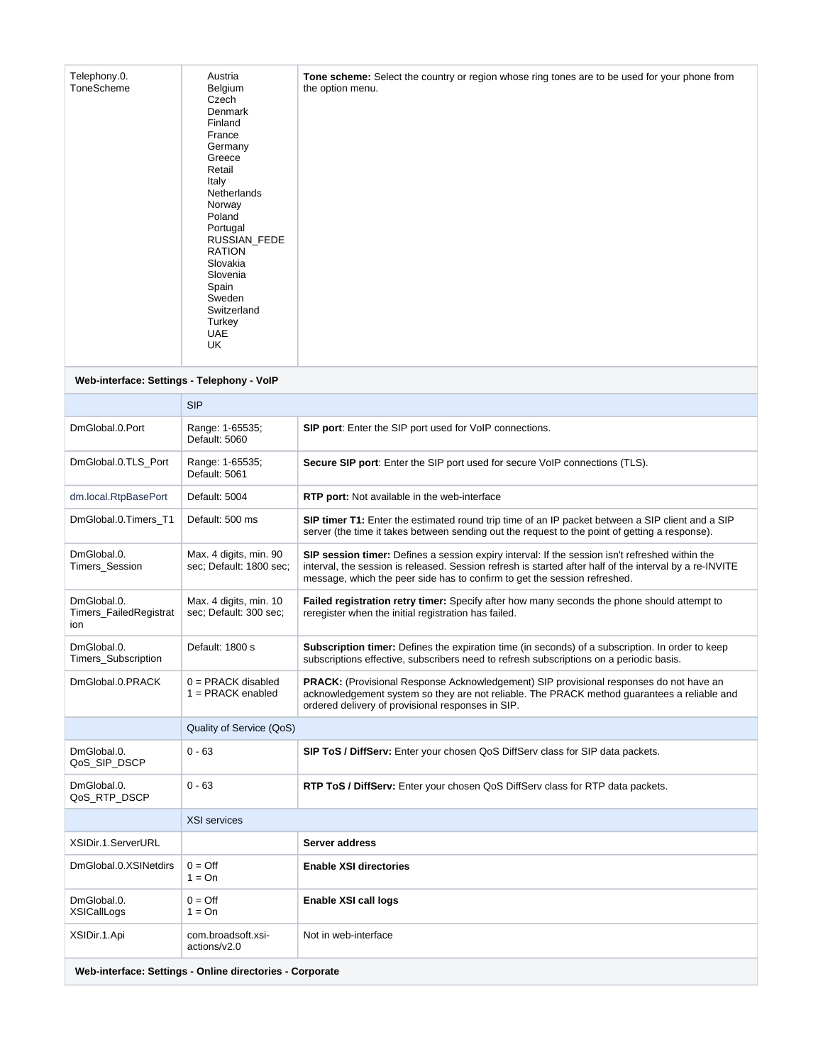| Telephony.0.<br>ToneScheme                               | Austria<br>Belgium<br>Czech<br><b>Denmark</b><br>Finland<br>France<br>Germany<br>Greece<br>Retail<br>Italy<br><b>Netherlands</b><br>Norway<br>Poland<br>Portugal<br>RUSSIAN FEDE<br><b>RATION</b><br>Slovakia<br>Slovenia<br>Spain<br>Sweden<br>Switzerland<br>Turkey<br>UAE<br>UK | <b>Tone scheme:</b> Select the country or region whose ring tones are to be used for your phone from<br>the option menu.                                                                                                                                                                |
|----------------------------------------------------------|------------------------------------------------------------------------------------------------------------------------------------------------------------------------------------------------------------------------------------------------------------------------------------|-----------------------------------------------------------------------------------------------------------------------------------------------------------------------------------------------------------------------------------------------------------------------------------------|
| Web-interface: Settings - Telephony - VoIP               |                                                                                                                                                                                                                                                                                    |                                                                                                                                                                                                                                                                                         |
|                                                          | <b>SIP</b>                                                                                                                                                                                                                                                                         |                                                                                                                                                                                                                                                                                         |
| DmGlobal.0.Port                                          | Range: 1-65535;<br>Default: 5060                                                                                                                                                                                                                                                   | <b>SIP port:</b> Enter the SIP port used for VoIP connections.                                                                                                                                                                                                                          |
| DmGlobal.0.TLS_Port                                      | Range: 1-65535;<br>Default: 5061                                                                                                                                                                                                                                                   | Secure SIP port: Enter the SIP port used for secure VoIP connections (TLS).                                                                                                                                                                                                             |
| dm.local.RtpBasePort                                     | Default: 5004                                                                                                                                                                                                                                                                      | <b>RTP port:</b> Not available in the web-interface                                                                                                                                                                                                                                     |
| DmGlobal.0.Timers_T1                                     | Default: 500 ms                                                                                                                                                                                                                                                                    | SIP timer T1: Enter the estimated round trip time of an IP packet between a SIP client and a SIP<br>server (the time it takes between sending out the request to the point of getting a response).                                                                                      |
| DmGlobal.0.<br>Timers_Session                            | Max. 4 digits, min. 90<br>sec; Default: 1800 sec;                                                                                                                                                                                                                                  | SIP session timer: Defines a session expiry interval: If the session isn't refreshed within the<br>interval, the session is released. Session refresh is started after half of the interval by a re-INVITE<br>message, which the peer side has to confirm to get the session refreshed. |
| DmGlobal.0.<br>Timers_FailedRegistrat<br>ion             | Max. 4 digits, min. 10<br>sec; Default: 300 sec;                                                                                                                                                                                                                                   | Failed registration retry timer: Specify after how many seconds the phone should attempt to<br>reregister when the initial registration has failed.                                                                                                                                     |
| DmGlobal.0.<br>Timers_Subscription                       | Default: 1800 s                                                                                                                                                                                                                                                                    | Subscription timer: Defines the expiration time (in seconds) of a subscription. In order to keep<br>subscriptions effective, subscribers need to refresh subscriptions on a periodic basis.                                                                                             |
| DmGlobal.0.PRACK                                         | $0 = PRACK$ disabled<br>$1 = PRACK$ enabled                                                                                                                                                                                                                                        | <b>PRACK:</b> (Provisional Response Acknowledgement) SIP provisional responses do not have an<br>acknowledgement system so they are not reliable. The PRACK method guarantees a reliable and<br>ordered delivery of provisional responses in SIP.                                       |
|                                                          | Quality of Service (QoS)                                                                                                                                                                                                                                                           |                                                                                                                                                                                                                                                                                         |
| DmGlobal.0.<br>QoS_SIP_DSCP                              | $0 - 63$                                                                                                                                                                                                                                                                           | <b>SIP ToS / DiffServ:</b> Enter your chosen QoS DiffServ class for SIP data packets.                                                                                                                                                                                                   |
| DmGlobal.0.<br>QoS_RTP_DSCP                              | $0 - 63$                                                                                                                                                                                                                                                                           | <b>RTP ToS / DiffServ:</b> Enter your chosen QoS DiffServ class for RTP data packets.                                                                                                                                                                                                   |
|                                                          | <b>XSI services</b>                                                                                                                                                                                                                                                                |                                                                                                                                                                                                                                                                                         |
| XSIDir.1.ServerURL                                       |                                                                                                                                                                                                                                                                                    | Server address                                                                                                                                                                                                                                                                          |
| DmGlobal.0.XSINetdirs                                    | $0 = \text{Off}$<br>$1 = On$                                                                                                                                                                                                                                                       | <b>Enable XSI directories</b>                                                                                                                                                                                                                                                           |
| DmGlobal.0.<br>XSICallLogs                               | $0 = \text{Off}$<br>$1 = On$                                                                                                                                                                                                                                                       | Enable XSI call logs                                                                                                                                                                                                                                                                    |
| XSIDir.1.Api                                             | com.broadsoft.xsi-<br>actions/v2.0                                                                                                                                                                                                                                                 | Not in web-interface                                                                                                                                                                                                                                                                    |
| Web-interface: Settings - Online directories - Corporate |                                                                                                                                                                                                                                                                                    |                                                                                                                                                                                                                                                                                         |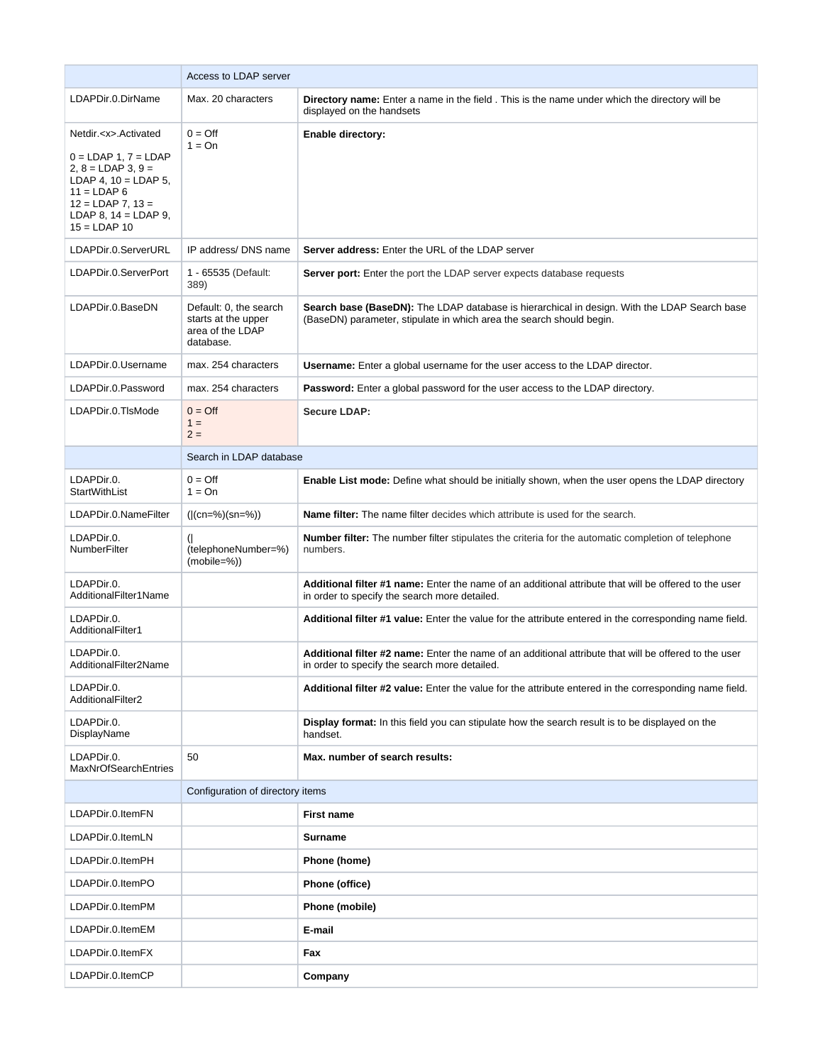|                                                                                                                                                                                                                                                                                            | Access to LDAP server                                                          |                                                                                                                                                                      |
|--------------------------------------------------------------------------------------------------------------------------------------------------------------------------------------------------------------------------------------------------------------------------------------------|--------------------------------------------------------------------------------|----------------------------------------------------------------------------------------------------------------------------------------------------------------------|
| LDAPDir.0.DirName                                                                                                                                                                                                                                                                          | Max. 20 characters                                                             | Directory name: Enter a name in the field . This is the name under which the directory will be<br>displayed on the handsets                                          |
| Netdir. <x>.Activated<br/><math>0 = LDAP 1, 7 = LDAP</math><br/><math>2, 8 = LDAP 3, 9 =</math><br/>LDAP 4, <math>10 =</math> LDAP 5,<br/><math>11 = LDAP 6</math><br/><math>12 = LDAP</math> 7, <math>13 =</math><br/>LDAP 8, <math>14 =</math> LDAP 9,<br/><math>15 = LDAP 10</math></x> | $0 = \text{Off}$<br>$1 = On$                                                   | <b>Enable directory:</b>                                                                                                                                             |
| LDAPDir.0.ServerURL                                                                                                                                                                                                                                                                        | IP address/ DNS name                                                           | Server address: Enter the URL of the LDAP server                                                                                                                     |
| LDAPDir.0.ServerPort                                                                                                                                                                                                                                                                       | 1 - 65535 (Default:<br>389)                                                    | <b>Server port:</b> Enter the port the LDAP server expects database requests                                                                                         |
| LDAPDir.0.BaseDN                                                                                                                                                                                                                                                                           | Default: 0, the search<br>starts at the upper<br>area of the LDAP<br>database. | Search base (BaseDN): The LDAP database is hierarchical in design. With the LDAP Search base<br>(BaseDN) parameter, stipulate in which area the search should begin. |
| LDAPDir.0.Username                                                                                                                                                                                                                                                                         | max. 254 characters                                                            | Username: Enter a global username for the user access to the LDAP director.                                                                                          |
| LDAPDir.0.Password                                                                                                                                                                                                                                                                         | max. 254 characters                                                            | <b>Password:</b> Enter a global password for the user access to the LDAP directory.                                                                                  |
| LDAPDir.0.TIsMode                                                                                                                                                                                                                                                                          | $0 = \text{Off}$<br>$1 =$<br>$2 =$                                             | <b>Secure LDAP:</b>                                                                                                                                                  |
|                                                                                                                                                                                                                                                                                            | Search in LDAP database                                                        |                                                                                                                                                                      |
| LDAPDir.0.<br>StartWithList                                                                                                                                                                                                                                                                | $0 = \text{Off}$<br>$1 = On$                                                   | Enable List mode: Define what should be initially shown, when the user opens the LDAP directory                                                                      |
| LDAPDir.0.NameFilter                                                                                                                                                                                                                                                                       | $( (cn=%)(sn=%)$                                                               | <b>Name filter:</b> The name filter decides which attribute is used for the search.                                                                                  |
| LDAPDir.0.<br>NumberFilter                                                                                                                                                                                                                                                                 | $\left($<br>(telephoneNumber=%)<br>$(mobile=%)$                                | <b>Number filter:</b> The number filter stipulates the criteria for the automatic completion of telephone<br>numbers.                                                |
| LDAPDir.0.<br>AdditionalFilter1Name                                                                                                                                                                                                                                                        |                                                                                | Additional filter #1 name: Enter the name of an additional attribute that will be offered to the user<br>in order to specify the search more detailed.               |
| LDAPDir.0.<br>AdditionalFilter1                                                                                                                                                                                                                                                            |                                                                                | Additional filter #1 value: Enter the value for the attribute entered in the corresponding name field.                                                               |
| LDAPDir.0.<br>AdditionalFilter2Name                                                                                                                                                                                                                                                        |                                                                                | Additional filter #2 name: Enter the name of an additional attribute that will be offered to the user<br>in order to specify the search more detailed.               |
| LDAPDir.0.<br>AdditionalFilter2                                                                                                                                                                                                                                                            |                                                                                | Additional filter #2 value: Enter the value for the attribute entered in the corresponding name field.                                                               |
| LDAPDir.0.<br>DisplayName                                                                                                                                                                                                                                                                  |                                                                                | <b>Display format:</b> In this field you can stipulate how the search result is to be displayed on the<br>handset.                                                   |
| LDAPDir.0.<br><b>MaxNrOfSearchEntries</b>                                                                                                                                                                                                                                                  | 50                                                                             | Max. number of search results:                                                                                                                                       |
|                                                                                                                                                                                                                                                                                            | Configuration of directory items                                               |                                                                                                                                                                      |
| LDAPDir.0.ItemFN                                                                                                                                                                                                                                                                           |                                                                                | <b>First name</b>                                                                                                                                                    |
| LDAPDir.0.ItemLN                                                                                                                                                                                                                                                                           |                                                                                | <b>Surname</b>                                                                                                                                                       |
| LDAPDir.0.ItemPH                                                                                                                                                                                                                                                                           |                                                                                | Phone (home)                                                                                                                                                         |
| LDAPDir.0.ItemPO                                                                                                                                                                                                                                                                           |                                                                                | Phone (office)                                                                                                                                                       |
| LDAPDir.0.ItemPM                                                                                                                                                                                                                                                                           |                                                                                | Phone (mobile)                                                                                                                                                       |
| LDAPDir.0.ItemEM                                                                                                                                                                                                                                                                           |                                                                                | E-mail                                                                                                                                                               |
| LDAPDir.0.ItemFX                                                                                                                                                                                                                                                                           |                                                                                | Fax                                                                                                                                                                  |
| LDAPDir.0.ItemCP                                                                                                                                                                                                                                                                           |                                                                                | Company                                                                                                                                                              |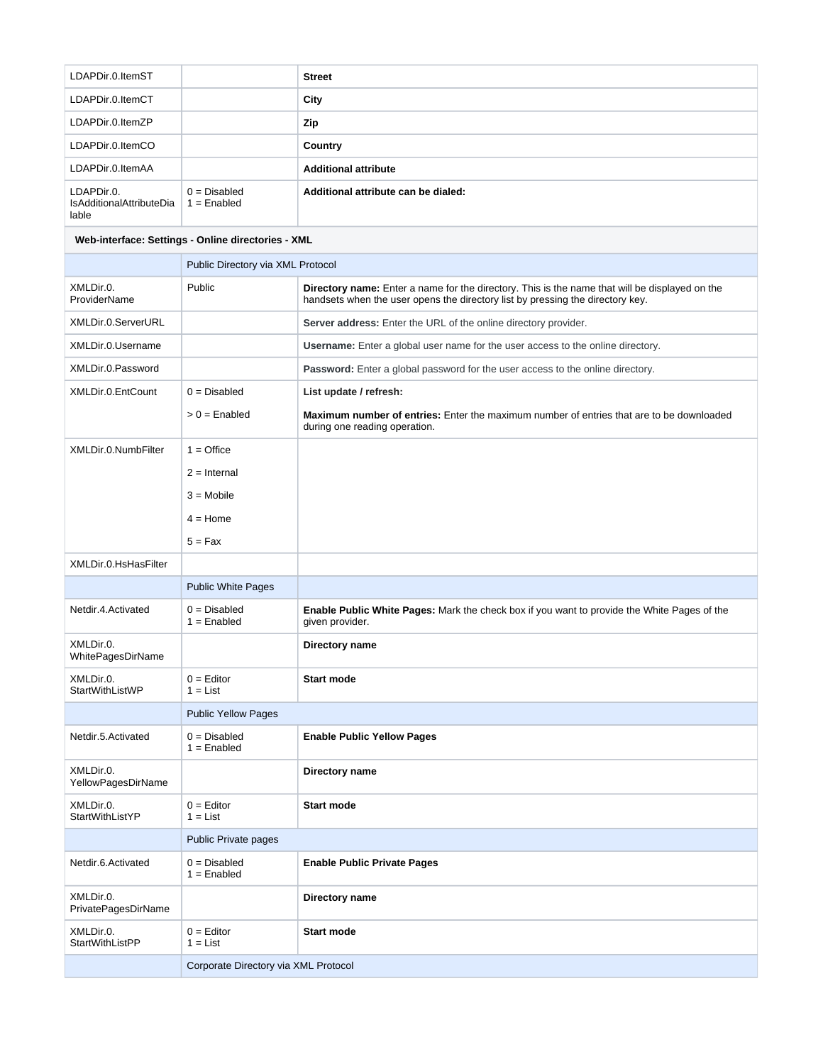| LDAPDir.0.ItemST                                       |                                                    | <b>Street</b>                                                                                                                                                                           |
|--------------------------------------------------------|----------------------------------------------------|-----------------------------------------------------------------------------------------------------------------------------------------------------------------------------------------|
| LDAPDir.0.ItemCT                                       |                                                    | City                                                                                                                                                                                    |
| LDAPDir.0.ItemZP                                       |                                                    | Zip                                                                                                                                                                                     |
| LDAPDir.0.ItemCO                                       |                                                    | <b>Country</b>                                                                                                                                                                          |
| LDAPDir.0.ItemAA                                       |                                                    | <b>Additional attribute</b>                                                                                                                                                             |
| LDAPDir.0.<br><b>IsAdditionalAttributeDia</b><br>lable | $0 = Disabled$<br>$1 =$ Enabled                    | Additional attribute can be dialed:                                                                                                                                                     |
|                                                        | Web-interface: Settings - Online directories - XML |                                                                                                                                                                                         |
|                                                        | Public Directory via XML Protocol                  |                                                                                                                                                                                         |
| XMLDir.0.<br>ProviderName                              | Public                                             | <b>Directory name:</b> Enter a name for the directory. This is the name that will be displayed on the<br>handsets when the user opens the directory list by pressing the directory key. |
| XMLDir.0.ServerURL                                     |                                                    | Server address: Enter the URL of the online directory provider.                                                                                                                         |
| XMLDir.0.Username                                      |                                                    | Username: Enter a global user name for the user access to the online directory.                                                                                                         |
| XMLDir.0.Password                                      |                                                    | Password: Enter a global password for the user access to the online directory.                                                                                                          |
| XMLDir.0.EntCount                                      | $0 = Disabled$                                     | List update / refresh:                                                                                                                                                                  |
|                                                        | $> 0 =$ Enabled                                    | <b>Maximum number of entries:</b> Enter the maximum number of entries that are to be downloaded<br>during one reading operation.                                                        |
| XMLDir.0.NumbFilter                                    | $1 =$ Office                                       |                                                                                                                                                                                         |
|                                                        | $2 =$ Internal                                     |                                                                                                                                                                                         |
|                                                        | $3 = Mobile$                                       |                                                                                                                                                                                         |
|                                                        | $4 =$ Home                                         |                                                                                                                                                                                         |
|                                                        | $5 = Fax$                                          |                                                                                                                                                                                         |
| XMLDir.0.HsHasFilter                                   |                                                    |                                                                                                                                                                                         |
|                                                        | <b>Public White Pages</b>                          |                                                                                                                                                                                         |
| Netdir.4.Activated                                     | $0 = Disabled$<br>$1 =$ Enabled                    | Enable Public White Pages: Mark the check box if you want to provide the White Pages of the<br>given provider.                                                                          |
| XMLDir.0.<br>WhitePagesDirName                         |                                                    | Directory name                                                                                                                                                                          |
| XMLDir.0.<br>StartWithListWP                           | $0 =$ Editor<br>$1 = List$                         | <b>Start mode</b>                                                                                                                                                                       |
|                                                        | <b>Public Yellow Pages</b>                         |                                                                                                                                                                                         |
| Netdir.5.Activated                                     | $0 = Disabled$<br>$1 =$ Enabled                    | <b>Enable Public Yellow Pages</b>                                                                                                                                                       |
| XMLDir.0.<br>YellowPagesDirName                        |                                                    | Directory name                                                                                                                                                                          |
| XMLDir.0.<br>StartWithListYP                           | $0 =$ Editor<br>$1 = List$                         | <b>Start mode</b>                                                                                                                                                                       |
|                                                        | Public Private pages                               |                                                                                                                                                                                         |
| Netdir.6.Activated                                     | $0 = Disabled$<br>$1 =$ Enabled                    | <b>Enable Public Private Pages</b>                                                                                                                                                      |
| XMLDir.0.<br>PrivatePagesDirName                       |                                                    | Directory name                                                                                                                                                                          |
| XMLDir.0.<br>StartWithListPP                           | $0 =$ Editor<br>$1 = List$                         | <b>Start mode</b>                                                                                                                                                                       |
|                                                        | Corporate Directory via XML Protocol               |                                                                                                                                                                                         |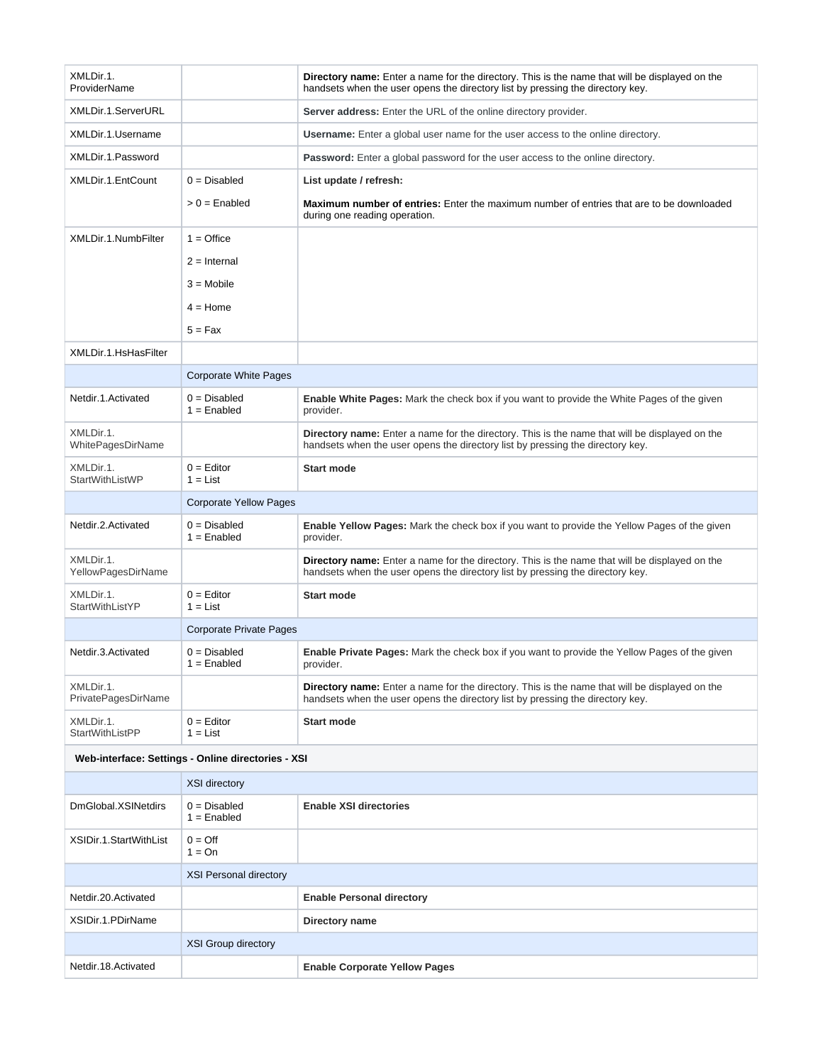| XMLDir.1.<br>ProviderName                          |                                  | Directory name: Enter a name for the directory. This is the name that will be displayed on the<br>handsets when the user opens the directory list by pressing the directory key.        |
|----------------------------------------------------|----------------------------------|-----------------------------------------------------------------------------------------------------------------------------------------------------------------------------------------|
| XMLDir.1.ServerURL                                 |                                  | Server address: Enter the URL of the online directory provider.                                                                                                                         |
| XMLDir.1.Username                                  |                                  | <b>Username:</b> Enter a global user name for the user access to the online directory.                                                                                                  |
| XMLDir.1.Password                                  |                                  | <b>Password:</b> Enter a global password for the user access to the online directory.                                                                                                   |
| XMLDir.1.EntCount                                  | $0 = Disabled$                   | List update / refresh:                                                                                                                                                                  |
|                                                    | $> 0 =$ Enabled                  | <b>Maximum number of entries:</b> Enter the maximum number of entries that are to be downloaded<br>during one reading operation.                                                        |
| XMLDir.1.NumbFilter                                | $1 =$ Office                     |                                                                                                                                                                                         |
|                                                    | $2 =$ Internal                   |                                                                                                                                                                                         |
|                                                    | $3 = Mobile$                     |                                                                                                                                                                                         |
|                                                    | $4 =$ Home                       |                                                                                                                                                                                         |
|                                                    | $5 = Fax$                        |                                                                                                                                                                                         |
| XMLDir.1.HsHasFilter                               |                                  |                                                                                                                                                                                         |
|                                                    | <b>Corporate White Pages</b>     |                                                                                                                                                                                         |
| Netdir.1.Activated                                 | $0 = Disabled$<br>$1 =$ Enabled  | Enable White Pages: Mark the check box if you want to provide the White Pages of the given<br>provider.                                                                                 |
| XMLDir.1.<br>WhitePagesDirName                     |                                  | Directory name: Enter a name for the directory. This is the name that will be displayed on the<br>handsets when the user opens the directory list by pressing the directory key.        |
| XMLDir.1.<br>StartWithListWP                       | $0 =$ Editor<br>$1 = List$       | <b>Start mode</b>                                                                                                                                                                       |
|                                                    | <b>Corporate Yellow Pages</b>    |                                                                                                                                                                                         |
| Netdir.2.Activated                                 | $0 = Disabled$<br>$1 =$ Enabled  | Enable Yellow Pages: Mark the check box if you want to provide the Yellow Pages of the given<br>provider.                                                                               |
| XMLDir.1.<br>YellowPagesDirName                    |                                  | <b>Directory name:</b> Enter a name for the directory. This is the name that will be displayed on the<br>handsets when the user opens the directory list by pressing the directory key. |
| XMLDir.1.<br>StartWithListYP                       | $0 =$ Editor<br>$1 = List$       | <b>Start mode</b>                                                                                                                                                                       |
|                                                    | <b>Corporate Private Pages</b>   |                                                                                                                                                                                         |
| Netdir.3.Activated                                 | $0 = Disabled$<br>$1 =$ Enabled  | <b>Enable Private Pages:</b> Mark the check box if you want to provide the Yellow Pages of the given<br>provider.                                                                       |
| XMLDir.1.<br>PrivatePagesDirName                   |                                  | <b>Directory name:</b> Enter a name for the directory. This is the name that will be displayed on the<br>handsets when the user opens the directory list by pressing the directory key. |
| XMLDir.1.<br><b>StartWithListPP</b>                | $0 =$ Editor<br>$1 = List$       | <b>Start mode</b>                                                                                                                                                                       |
| Web-interface: Settings - Online directories - XSI |                                  |                                                                                                                                                                                         |
|                                                    | XSI directory                    |                                                                                                                                                                                         |
| DmGlobal.XSINetdirs                                | $0 = Disable$ d<br>$1 =$ Enabled | <b>Enable XSI directories</b>                                                                                                                                                           |
| XSIDir.1.StartWithList                             | $0 = \text{Off}$<br>$1 = On$     |                                                                                                                                                                                         |
|                                                    | <b>XSI Personal directory</b>    |                                                                                                                                                                                         |
| Netdir.20.Activated                                |                                  | <b>Enable Personal directory</b>                                                                                                                                                        |
| XSIDir.1.PDirName                                  |                                  | Directory name                                                                                                                                                                          |
|                                                    | <b>XSI Group directory</b>       |                                                                                                                                                                                         |
| Netdir.18.Activated                                |                                  | <b>Enable Corporate Yellow Pages</b>                                                                                                                                                    |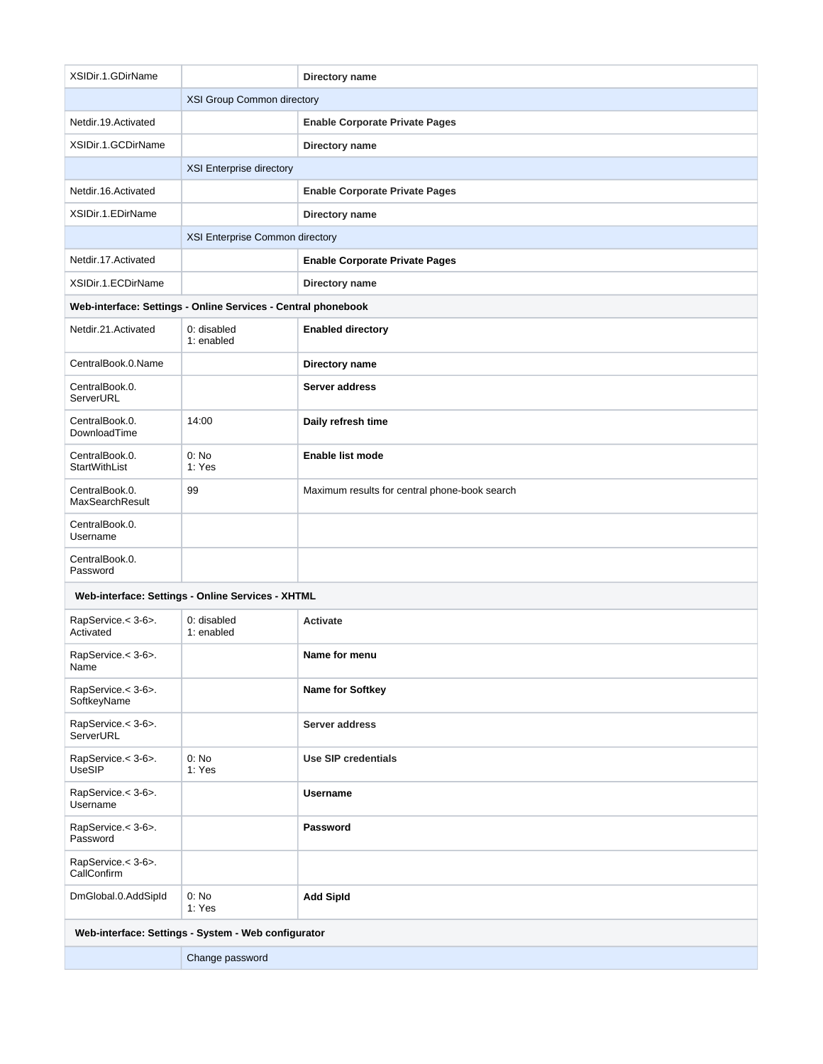| XSIDir.1.GDirName                                   |                                                               | Directory name                                |
|-----------------------------------------------------|---------------------------------------------------------------|-----------------------------------------------|
|                                                     | XSI Group Common directory                                    |                                               |
| Netdir.19.Activated                                 |                                                               | <b>Enable Corporate Private Pages</b>         |
| XSIDir.1.GCDirName                                  |                                                               | Directory name                                |
|                                                     | XSI Enterprise directory                                      |                                               |
| Netdir.16.Activated                                 |                                                               | <b>Enable Corporate Private Pages</b>         |
| XSIDir.1.EDirName                                   |                                                               | Directory name                                |
|                                                     | XSI Enterprise Common directory                               |                                               |
| Netdir.17.Activated                                 |                                                               | <b>Enable Corporate Private Pages</b>         |
| XSIDir.1.ECDirName                                  |                                                               | Directory name                                |
|                                                     | Web-interface: Settings - Online Services - Central phonebook |                                               |
| Netdir.21.Activated                                 | 0: disabled<br>1: enabled                                     | <b>Enabled directory</b>                      |
| CentralBook.0.Name                                  |                                                               | Directory name                                |
| CentralBook.0.<br>ServerURL                         |                                                               | Server address                                |
| CentralBook.0.<br>DownloadTime                      | 14:00                                                         | Daily refresh time                            |
| CentralBook.0.<br>StartWithList                     | 0: No<br>1: Yes                                               | <b>Enable list mode</b>                       |
| CentralBook.0.<br><b>MaxSearchResult</b>            | 99                                                            | Maximum results for central phone-book search |
| CentralBook.0.<br>Username                          |                                                               |                                               |
| CentralBook.0.<br>Password                          |                                                               |                                               |
|                                                     | Web-interface: Settings - Online Services - XHTML             |                                               |
| RapService.< 3-6>.<br>Activated                     | 0: disabled<br>1: enabled                                     | <b>Activate</b>                               |
| RapService.< 3-6>.<br>Name                          |                                                               | Name for menu                                 |
| RapService.< 3-6>.<br>SoftkeyName                   |                                                               | Name for Softkey                              |
| RapService.< 3-6>.<br>ServerURL                     |                                                               | Server address                                |
| RapService.< 3-6>.<br>UseSIP                        | 0: No<br>1: Yes                                               | Use SIP credentials                           |
| RapService.< 3-6>.<br>Username                      |                                                               | <b>Username</b>                               |
| RapService.< 3-6>.<br>Password                      |                                                               | Password                                      |
| RapService.< 3-6>.<br>CallConfirm                   |                                                               |                                               |
| DmGlobal.0.AddSipId                                 | 0: No<br>1: Yes                                               | <b>Add SipId</b>                              |
| Web-interface: Settings - System - Web configurator |                                                               |                                               |
| Change password                                     |                                                               |                                               |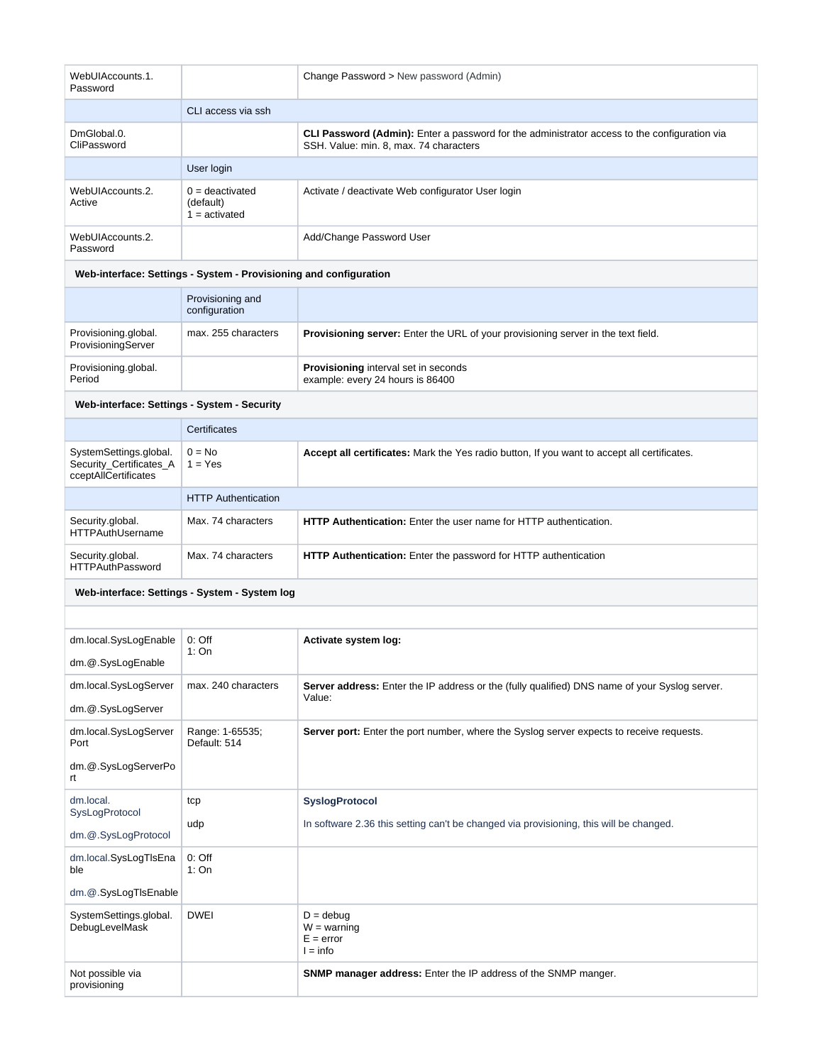| WebUIAccounts.1.<br>Password                                              |                                                                   | Change Password > New password (Admin)                                                                                                 |
|---------------------------------------------------------------------------|-------------------------------------------------------------------|----------------------------------------------------------------------------------------------------------------------------------------|
|                                                                           | CLI access via ssh                                                |                                                                                                                                        |
| DmGlobal.0.<br>CliPassword                                                |                                                                   | CLI Password (Admin): Enter a password for the administrator access to the configuration via<br>SSH, Value: min. 8. max. 74 characters |
|                                                                           | User login                                                        |                                                                                                                                        |
| WebUIAccounts.2.<br>Active                                                | $0 =$ deactivated<br>(default)<br>$1 =$ activated                 | Activate / deactivate Web configurator User login                                                                                      |
| WebUIAccounts.2.<br>Password                                              |                                                                   | Add/Change Password User                                                                                                               |
|                                                                           | Web-interface: Settings - System - Provisioning and configuration |                                                                                                                                        |
|                                                                           | Provisioning and<br>configuration                                 |                                                                                                                                        |
| Provisioning.global.<br>ProvisioningServer                                | max. 255 characters                                               | Provisioning server: Enter the URL of your provisioning server in the text field.                                                      |
| Provisioning.global.<br>Period                                            |                                                                   | Provisioning interval set in seconds<br>example: every 24 hours is 86400                                                               |
| Web-interface: Settings - System - Security                               |                                                                   |                                                                                                                                        |
|                                                                           | Certificates                                                      |                                                                                                                                        |
| SystemSettings.global.<br>Security_Certificates_A<br>cceptAllCertificates | $0 = No$<br>$1 = Yes$                                             | Accept all certificates: Mark the Yes radio button, If you want to accept all certificates.                                            |
|                                                                           | <b>HTTP Authentication</b>                                        |                                                                                                                                        |
| Security.global.<br><b>HTTPAuthUsername</b>                               | Max. 74 characters                                                | <b>HTTP Authentication:</b> Enter the user name for HTTP authentication.                                                               |
| Security.global.<br><b>HTTPAuthPassword</b>                               | Max. 74 characters                                                | HTTP Authentication: Enter the password for HTTP authentication                                                                        |
|                                                                           | Web-interface: Settings - System - System log                     |                                                                                                                                        |
|                                                                           |                                                                   |                                                                                                                                        |
| dm.local.SysLogEnable<br>dm.@.SysLogEnable                                | $0:$ Off<br>1:On                                                  | Activate system log:                                                                                                                   |
| dm.local.SysLogServer<br>dm.@.SysLogServer                                | max. 240 characters                                               | Server address: Enter the IP address or the (fully qualified) DNS name of your Syslog server.<br>Value:                                |
| dm.local.SysLogServer<br>Port                                             | Range: 1-65535;<br>Default: 514                                   | Server port: Enter the port number, where the Syslog server expects to receive requests.                                               |
| dm.@.SysLogServerPo<br>rt.                                                |                                                                   |                                                                                                                                        |
| dm.local.<br>SysLogProtocol                                               | tcp                                                               | <b>SyslogProtocol</b>                                                                                                                  |
| dm.@.SysLogProtocol                                                       | udp                                                               | In software 2.36 this setting can't be changed via provisioning, this will be changed.                                                 |
| dm.local.SysLogTIsEna<br>ble                                              | $0:$ Off<br>1:On                                                  |                                                                                                                                        |
| dm.@.SysLogTIsEnable                                                      |                                                                   |                                                                                                                                        |
| SystemSettings.global.<br>DebugLevelMask                                  | <b>DWEI</b>                                                       | $D =$ debug<br>$W =$ warning<br>$E = error$<br>$l = info$                                                                              |
| Not possible via<br>provisioning                                          |                                                                   | SNMP manager address: Enter the IP address of the SNMP manger.                                                                         |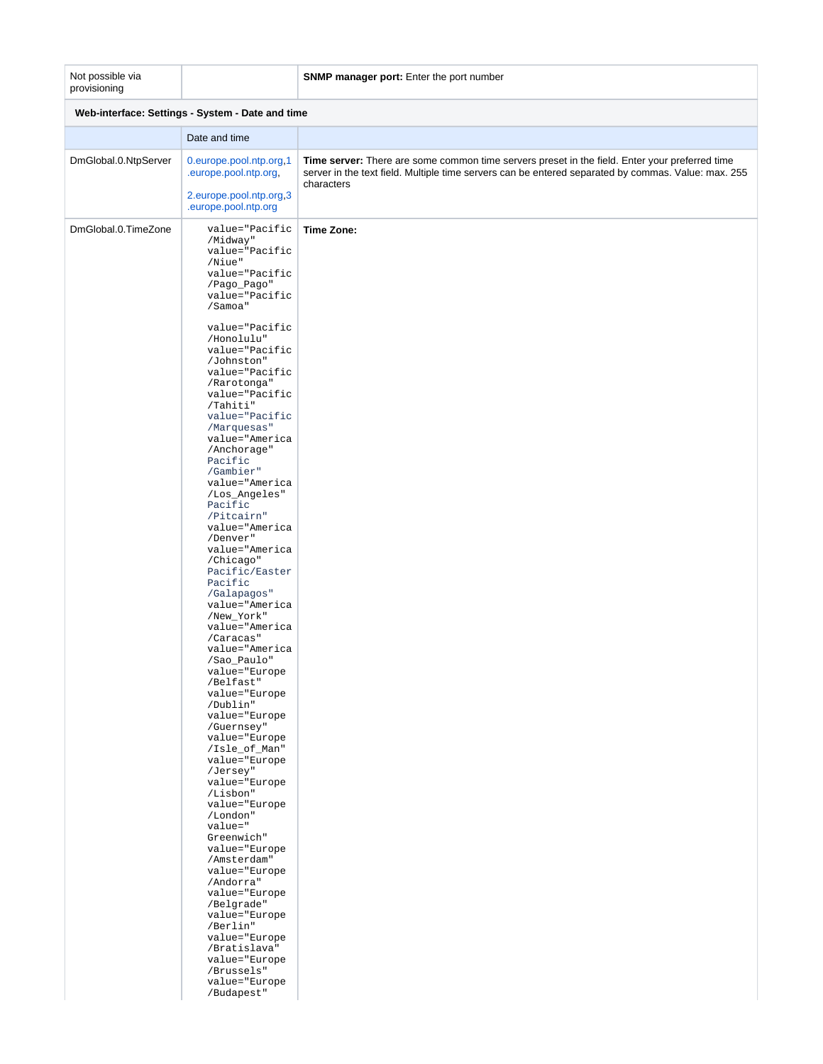## Not possible via provisioning

## **SNMP manager port:** Enter the port number

| Web-interface: Settings - System - Date and time |                                                                                                                                                                                                                                                                                                                                                                                                                                                                                                                                                                                                                                                                                                                                                                                                                                                                                                                                                                                                                                                                                         |                                                                                                                                                                                                                     |
|--------------------------------------------------|-----------------------------------------------------------------------------------------------------------------------------------------------------------------------------------------------------------------------------------------------------------------------------------------------------------------------------------------------------------------------------------------------------------------------------------------------------------------------------------------------------------------------------------------------------------------------------------------------------------------------------------------------------------------------------------------------------------------------------------------------------------------------------------------------------------------------------------------------------------------------------------------------------------------------------------------------------------------------------------------------------------------------------------------------------------------------------------------|---------------------------------------------------------------------------------------------------------------------------------------------------------------------------------------------------------------------|
|                                                  | Date and time                                                                                                                                                                                                                                                                                                                                                                                                                                                                                                                                                                                                                                                                                                                                                                                                                                                                                                                                                                                                                                                                           |                                                                                                                                                                                                                     |
| DmGlobal.0.NtpServer                             | 0.europe.pool.ntp.org,1<br>.europe.pool.ntp.org,<br>2.europe.pool.ntp.org,3<br>.europe.pool.ntp.org                                                                                                                                                                                                                                                                                                                                                                                                                                                                                                                                                                                                                                                                                                                                                                                                                                                                                                                                                                                     | Time server: There are some common time servers preset in the field. Enter your preferred time<br>server in the text field. Multiple time servers can be entered separated by commas. Value: max. 255<br>characters |
| DmGlobal.0.TimeZone                              | value="Pacific<br>/Midway"<br>value="Pacific<br>/Niue"<br>value="Pacific<br>/Pago_Pago"<br>value="Pacific<br>/Samoa"<br>value="Pacific<br>/Honolulu"<br>value="Pacific<br>/Johnston"<br>value="Pacific<br>/Rarotonga"<br>value="Pacific<br>/Tahiti"<br>value="Pacific<br>/Marquesas"<br>value="America<br>/Anchorage"<br>Pacific<br>/Gambier"<br>value="America<br>/Los_Angeles"<br>Pacific<br>/Pitcairn"<br>value="America<br>/Denver"<br>value="America<br>/Chicago"<br>Pacific/Easter<br>Pacific<br>/Galapagos"<br>value="America<br>/New_York"<br>value="America<br>/Caracas"<br>value="America<br>/Sao_Paulo"<br>value="Europe<br>/Belfast"<br>value="Europe<br>/Dublin"<br>value="Europe<br>/Guernsey"<br>value="Europe<br>/Isle_of_Man"<br>value="Europe<br>/Jersey"<br>value="Europe<br>/Lisbon"<br>value="Europe<br>/London"<br>value="<br>Greenwich"<br>value="Europe<br>/Amsterdam"<br>value="Europe<br>/Andorra"<br>value="Europe<br>/Belgrade"<br>value="Europe<br>/Berlin"<br>value="Europe<br>/Bratislava"<br>value="Europe<br>/Brussels"<br>value="Europe<br>/Budapest" | Time Zone:                                                                                                                                                                                                          |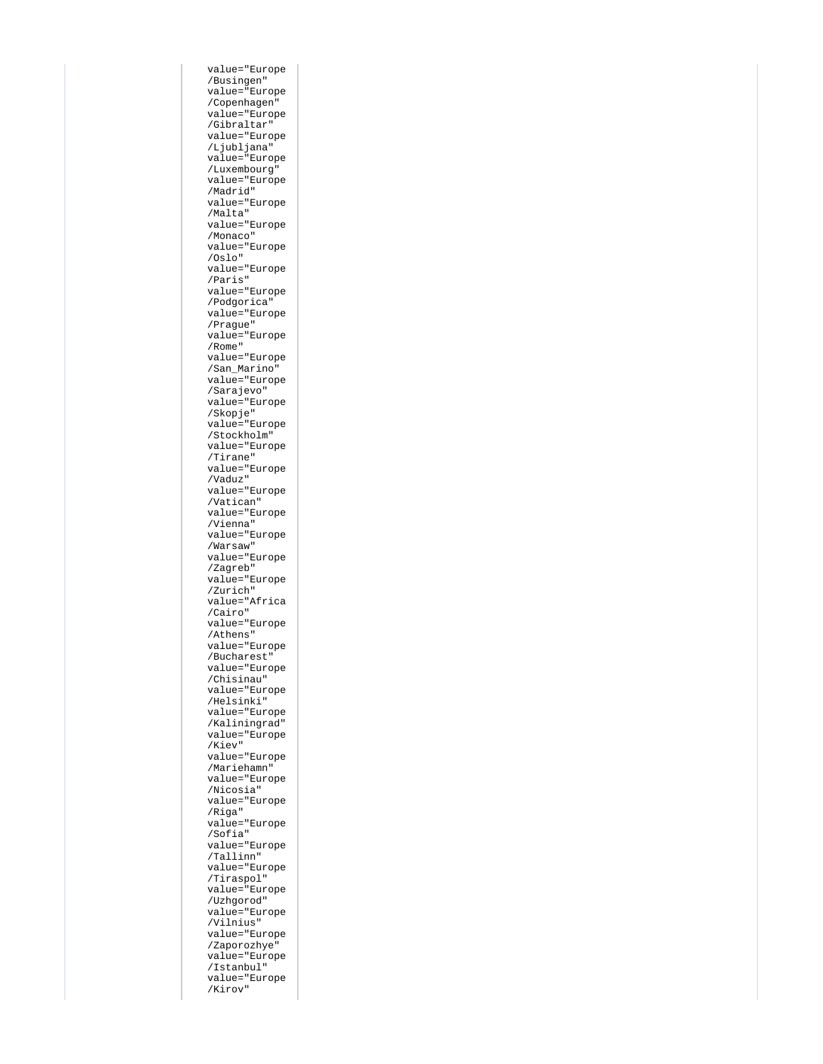value="Europe /Busingen" value="Europe /Copenhagen" value="Europe /Gibraltar" value="Europe /Ljubljana" value="Europe /Luxembourg" value="Europe /Madrid" value="Europe /Malta" value="Europe /Monaco" value="Europe /Oslo" value="Europe /Paris" value="Europe /Podgorica" value="Europe /Prague" value="Europe /Rome" value="Europe /San\_Marino" value="Europe /Sarajevo" value="Europe /Skopje" value="Europe /Stockholm" value="Europe /Tirane" value="Europe /Vaduz" value="Europe /Vatican" value="Europe /Vienna" value="Europe /Warsaw" value="Europe /Zagreb" value="Europe /Zurich" value="Africa /Cairo" value="Europe /Athens" value="Europe /Bucharest" value="Europe /Chisinau" value="Europe /Helsinki" value="Europe /Kaliningrad" value="Europe /Kiev" value="Europe /Mariehamn" value="Europe /Nicosia" value="Europe /Riga" value="Europe /Sofia" value="Europe /Tallinn" value="Europe /Tiraspol" value="Europe /Uzhgorod" value="Europe /Vilnius" value="Europe /Zaporozhye" value="Europe /Istanbul" value="Europe /Kirov"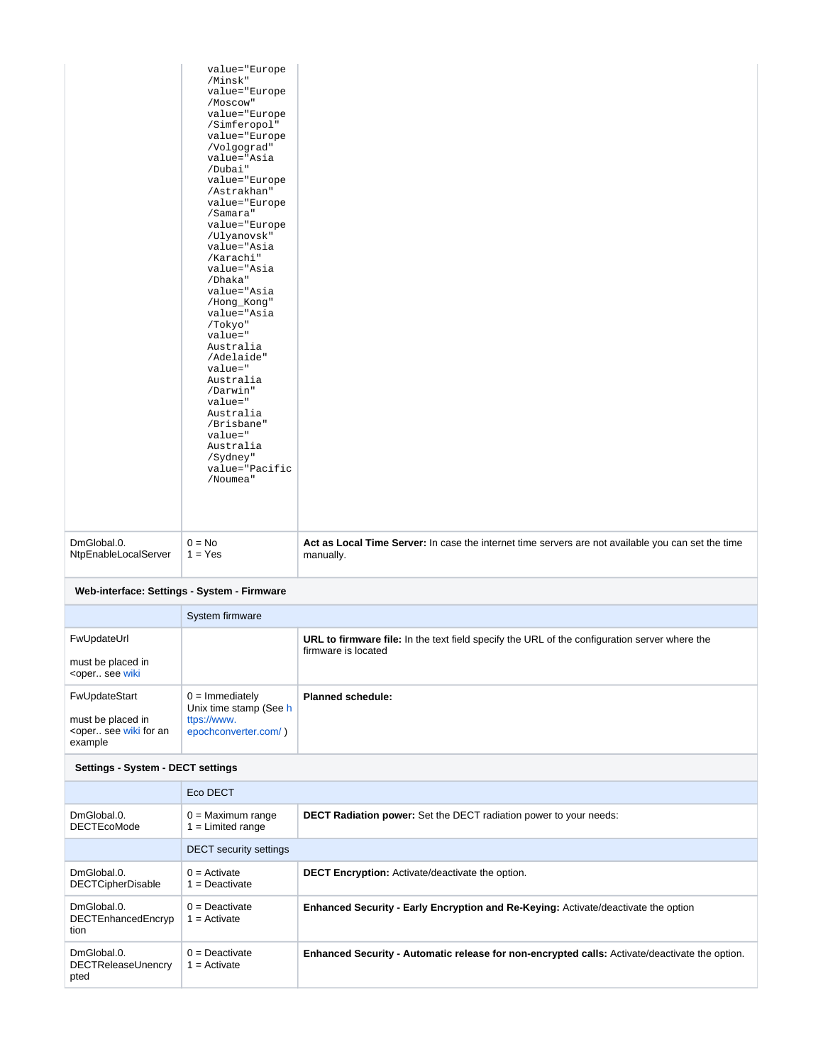| NtpEnableLocalServer | $1 = Yes$                                                                                                                                                                                                                                                                                 | manually.                                                                                          |
|----------------------|-------------------------------------------------------------------------------------------------------------------------------------------------------------------------------------------------------------------------------------------------------------------------------------------|----------------------------------------------------------------------------------------------------|
| DmGlobal.0.          | /Karachi"<br>value="Asia<br>/Dhaka"<br>value="Asia<br>/Hong_Kong"<br>value="Asia<br>/Tokyo"<br>value="<br>Australia<br>/Adelaide"<br>value="<br>Australia<br>/Darwin"<br>value="<br>Australia<br>/Brisbane"<br>value="<br>Australia<br>/Sydney"<br>value="Pacific<br>/Noumea"<br>$0 = No$ | Act as Local Time Server: In case the internet time servers are not available you can set the time |
|                      | value="Europe<br>/Minsk"<br>value="Europe<br>/Moscow"<br>value="Europe<br>/Simferopol"<br>value="Europe<br>/Volgograd"<br>value="Asia<br>/Dubai"<br>value="Europe<br>/Astrakhan"<br>value="Europe<br>/Samara"<br>value="Europe<br>/Ulyanovsk"<br>value="Asia                              |                                                                                                    |

|                                                                                                                                                                                                                       | System firmware                                                                    |                                                                                                                             |
|-----------------------------------------------------------------------------------------------------------------------------------------------------------------------------------------------------------------------|------------------------------------------------------------------------------------|-----------------------------------------------------------------------------------------------------------------------------|
| FwUpdateUrl<br>must be placed in<br><oper see="" td="" wiki<=""><td></td><td><b>URL to firmware file:</b> In the text field specify the URL of the configuration server where the<br/>firmware is located</td></oper> |                                                                                    | <b>URL to firmware file:</b> In the text field specify the URL of the configuration server where the<br>firmware is located |
| FwUpdateStart<br>must be placed in<br><oper an<br="" for="" see="" wiki="">example</oper>                                                                                                                             | $0 =$ Immediately<br>Unix time stamp (See h<br>ttps://www.<br>epochconverter.com/) | <b>Planned schedule:</b>                                                                                                    |

## **Settings - System - DECT settings**

|                                           | Eco DECT                                 |                                                                                                |
|-------------------------------------------|------------------------------------------|------------------------------------------------------------------------------------------------|
| DmGlobal.0.<br><b>DECTEcoMode</b>         | $0 =$ Maximum range<br>$=$ Limited range | <b>DECT Radiation power:</b> Set the DECT radiation power to your needs:                       |
|                                           | <b>DECT</b> security settings            |                                                                                                |
| DmGlobal.0.<br><b>DECTCipherDisable</b>   | $0 =$ Activate<br>$=$ Deactivate         | <b>DECT Encryption:</b> Activate/deactivate the option.                                        |
| DmGlobal.0.<br>DECTEnhancedEncryp<br>tion | $0 =$ Deactivate<br>$=$ Activate         | <b>Enhanced Security - Early Encryption and Re-Keying: Activate/deactivate the option</b>      |
| DmGlobal.0.<br>DECTReleaseUnencry<br>pted | $0 =$ Deactivate<br>$=$ Activate         | Enhanced Security - Automatic release for non-encrypted calls: Activate/deactivate the option. |